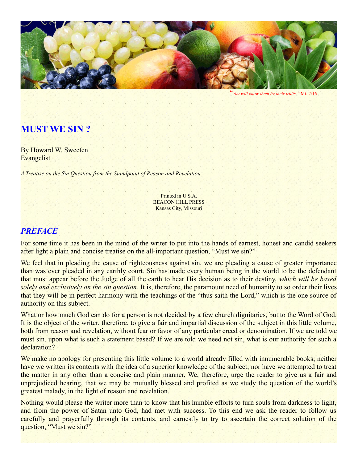

"*You will know them by their fruits."* Mt. 7:16

#### **MUST WE SIN ?**

By Howard W. Sweeten **Evangelist** 

*A Treatise on the Sin Question from the Standpoint of Reason and Revelation*

Printed in U.S.A. BEACON HILL PRESS Kansas City, Missouri

#### *PREFACE*

For some time it has been in the mind of the writer to put into the hands of earnest, honest and candid seekers after light a plain and concise treatise on the all-important question, "Must we sin?"

We feel that in pleading the cause of righteousness against sin, we are pleading a cause of greater importance than was ever pleaded in any earthly court. Sin has made every human being in the world to be the defendant that must appear before the Judge of all the earth to hear His decision as to their destiny, *which will be based solely and exclusively on the sin question*. It is, therefore, the paramount need of humanity to so order their lives that they will be in perfect harmony with the teachings of the "thus saith the Lord," which is the one source of authority on this subject.

What or how much God can do for a person is not decided by a few church dignitaries, but to the Word of God. It is the object of the writer, therefore, to give a fair and impartial discussion of the subject in this little volume, both from reason and revelation, without fear or favor of any particular creed or denomination. If we are told we must sin, upon what is such a statement based? If we are told we need not sin, what is our authority for such a declaration?

We make no apology for presenting this little volume to a world already filled with innumerable books; neither have we written its contents with the idea of a superior knowledge of the subject; nor have we attempted to treat the matter in any other than a concise and plain manner. We, therefore, urge the reader to give us a fair and unprejudiced hearing, that we may be mutually blessed and profited as we study the question of the world's greatest malady, in the light of reason and revelation.

Nothing would please the writer more than to know that his humble efforts to turn souls from darkness to light, and from the power of Satan unto God, had met with success. To this end we ask the reader to follow us carefully and prayerfully through its contents, and earnestly to try to ascertain the correct solution of the question, "Must we sin?"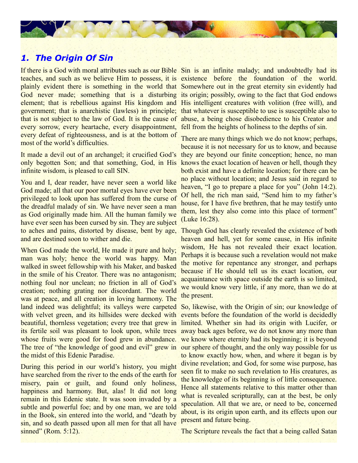## *1. The Origin Of Sin*

teaches, and such as we believe Him to possess, it is existence before the foundation of the world. plainly evident there is something in the world that Somewhere out in the great eternity sin evidently had God never made; something that is a disturbing its origin; possibly, owing to the fact that God endows element; that is rebellious against His kingdom and His intelligent creatures with volition (free will), and government; that is anarchistic (lawless) in principle; that whatever is susceptible to use is susceptible also to that is not subject to the law of God. It is the cause of abuse, a being chose disobedience to his Creator and every sorrow, every heartache, every disappointment, fell from the heights of holiness to the depths of sin. every defeat of righteousness, and is at the bottom of most of the world's difficulties.

It made a devil out of an archangel; it crucified God's only begotten Son; and that something, God, in His infinite wisdom, is pleased to call SIN.

You and I, dear reader, have never seen a world like God made; all that our poor mortal eyes have ever been privileged to look upon has suffered from the curse of the dreadful malady of sin. We have never seen a man as God originally made him. All the human family we have ever seen has been cursed by sin. They are subject to aches and pains, distorted by disease, bent by age, and are destined soon to wither and die.

When God made the world, He made it pure and holy; man was holy; hence the world was happy. Man walked in sweet fellowship with his Maker, and basked in the smile of his Creator. There was no antagonism; nothing foul nor unclean; no friction in all of God's creation; nothing grating nor discordant. The world was at peace, and all creation in loving harmony. The land indeed was delightful; its valleys were carpeted with velvet green, and its hillsides were decked with beautiful, thornless vegetation; every tree that grew in limited. Whether sin had its origin with Lucifer, or its fertile soil was pleasant to look upon, while trees whose fruits were good for food grew in abundance. The tree of "the knowledge of good and evil" grew in the midst of this Edenic Paradise.

During this period in our world's history, you might have searched from the river to the ends of the earth for misery, pain or guilt, and found only holiness, happiness and harmony. But, alas! It did not long remain in this Edenic state. It was soon invaded by a subtle and powerful foe; and by one man, we are told in the Book, sin entered into the world, and "death by sin, and so death passed upon all men for that all have sinned" (Rom. 5:12).

If there is a God with moral attributes such as our Bible Sin is an infinite malady; and undoubtedly had its

There are many things which we do not know; perhaps, because it is not necessary for us to know, and because they are beyond our finite conception; hence, no man knows the exact location of heaven or hell, though they both exist and have a definite location; for there can be no place without location; and Jesus said in regard to heaven, "I go to prepare a place for you" (John 14:2). Of hell, the rich man said, "Send him to my father's house, for I have five brethren, that he may testify unto them, lest they also come into this place of torment" (Luke 16:28).

Though God has clearly revealed the existence of both heaven and hell, yet for some cause, in His infinite wisdom. He has not revealed their exact location. Perhaps it is because such a revelation would not make the motive for repentance any stronger, and perhaps because if He should tell us its exact location, our acquaintance with space outside the earth is so limited, we would know very little, if any more, than we do at the present.

So, likewise, with the Origin of sin; our knowledge of events before the foundation of the world is decidedly away back ages before, we do not know any more than we know where eternity had its beginning; it is beyond our sphere of thought, and the only way possible for us to know exactly how, when, and where it began is by divine revelation; and God, for some wise purpose, has seen fit to make no such revelation to His creatures, as the knowledge of its beginning is of little consequence. Hence all statements relative to this matter other than what is revealed scripturally, can at the best, be only speculation. All that we are, or need to be, concerned about, is its origin upon earth, and its effects upon our present and future being.

The Scripture reveals the fact that a being called Satan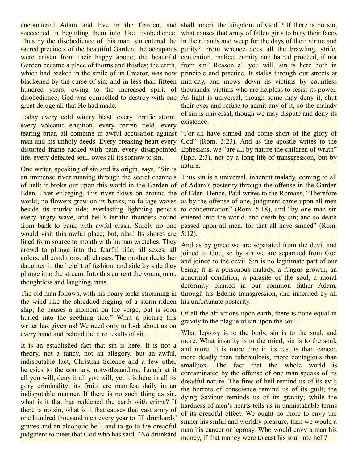encountered Adam and Eve in the Garden, and shall inherit the kingdom of God"? If there is no sin, succeeded in beguiling them into like disobedience. what causes that army of fallen girls to bury their faces Thus by the disobedience of this man, sin entered the in their hands and weep for the days of their virtue and sacred precincts of the beautiful Garden; the occupants purity? From whence does all the brawling, strife, were driven from their happy abode; the beautiful contention, malice, enmity and hatred proceed, if not Garden became a place of thorns and thistles; the earth, from sin? Reason all you will, sin is here both in which had basked in the smile of its Creator, was now principle and practice. It stalks through our streets at blackened by the curse of sin; and in less than fifteen mid-day, and mows down its victims by countless hundred years, owing to the increased spirit of thousands, victims who are helpless to resist its power. disobedience, God was compelled to destroy with one As light is universal, though some may deny it, shut great deluge all that He had made.

Today every cold wintry blast, every terrific storm, every volcanic eruption, every barren field, every tearing briar, all combine in awful accusation against "For all have sinned and come short of the glory of man and his unholy deeds. Every breaking heart every God" (Rom. 3:23). And as the apostle writes to the distorted frame racked with pain, every disappointed Ephesians, we "are all by nature the children of wrath" life, every defeated soul, owes all its sorrow to sin.

One writer, speaking of sin and its origin, says, "Sin is an immense river running through the secret channels Thus sin is a universal, inherent malady, coming to all of hell; it broke out upon this world in the Garden of of Adam's posterity through the offense in the Garden Eden. Ever enlarging, this river flows on around the of Eden. Hence, Paul writes to the Romans, "Therefore world; no flowers grow on its banks; no foliage waves as by the offense of one, judgment came upon all men beside its murky tide; everlasting lightning pencils to condemnation" (Rom. 5:18), and "by one man sin every angry wave, and hell's terrific thunders bound entered into the world, and death by sin; and so death from bank to bank with awful crash. Surely no one passed upon all men, for that all have sinned" (Rom. would visit this awful place; but, alas! Its shores are 5:12). lined from source to mouth with human wretches. They crowd to plunge into the fearful tide; all sexes, all colors, all conditions, all classes. The mother decks her daughter in the height of fashion, and side by side they plunge into the stream. Into this current the young man, thoughtless and laughing, runs.

The old man follows, with his hoary locks streaming in through his Edenic transgression, and inherited by all the wind like the shredded rigging of a storm-ridden ship; he pauses a moment on the verge, but is soon hurled into the seething tide." What a picture this writer has given us! We need only to look about us on every hand and behold the dire results of sin.

It is an established fact that sin is here. It is not a theory, not a fancy, not an allegory, but an awful, indisputable fact, Christian Science and a few other heresies to the contrary, notwithstanding. Laugh at it all you will, deny it all you will, yet it is here in all its gory criminality; its fruits are manifest daily in an indisputable manner. If there is no such thing as sin, what is it that has reddened the earth with crime? If there is no sin, what is it that causes that vast army of one hundred thousand men every year to fill drunkards' graves and an alcoholic hell; and to go to the dreadful judgment to meet that God who has said, "No drunkard

their eyes and refuse to admit any of it, so the malady of sin is universal, though we may dispute and deny its existence.

(Eph. 2:3), not by a long life of transgression, but by nature.

And as by grace we are separated from the devil and joined to God, so by sin we are separated from God and joined to the devil. Sin is no legitimate part of our being; it is a poisonous malady, a fungus growth, an abnormal condition, a parasite of the soul, a moral deformity planted in our common father Adam, his unfortunate posterity.

Of all the afflictions upon earth, there is none equal in gravity to the plague of sin upon the soul.

What leprosy is to the body, sin is to the soul, and more. What insanity is to the mind, sin is to the soul, and more. It is more dire in its results than cancer, more deadly than tuberculosis, more contagious than smallpox. The fact that the whole world is contaminated by the offense of one man speaks of its dreadful nature. The fires of hell remind us of its evil; the horrors of conscience remind us of its guilt; the dying Saviour reminds us of its gravity; while the hardness of men's hearts tells us in unmistakable terms of its dreadful effect. We ought no more to envy the sinner his sinful and worldly pleasure, than we would a man his cancer or leprosy. Who would envy a man his money, if that money were to cast his soul into hell?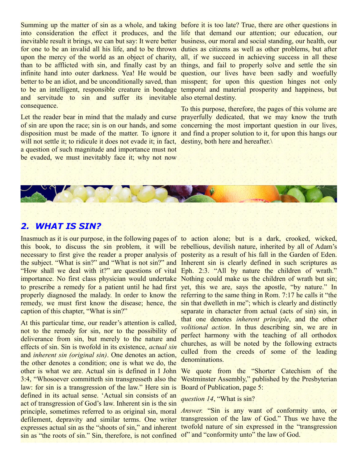Summing up the matter of sin as a whole, and taking before it is too late? True, there are other questions in into consideration the effect it produces, and the life that demand our attention; our education, our inevitable result it brings, we can but say: It were better business, our moral and social standing, our health, our for one to be an invalid all his life, and to be thrown duties as citizens as well as other problems, but after upon the mercy of the world as an object of charity, all, if we succeed in achieving success in all these than to be afflicted with sin, and finally cast by an things, and fail to properly solve and settle the sin infinite hand into outer darkness. Yea! He would be question, our lives have been sadly and woefully better to be an idiot, and be unconditionally saved, than misspent; for upon this question hinges not only to be an intelligent, responsible creature in bondage temporal and material prosperity and happiness, but and servitude to sin and suffer its inevitable also eternal destiny. consequence.

of sin are upon the race; sin is on our hands, and some concerning the most important question in our lives, disposition must be made of the matter. To ignore it and find a proper solution to it, for upon this hangs our will not settle it; to ridicule it does not evade it; in fact, destiny, both here and hereafter. a question of such magnitude and importance must not be evaded, we must inevitably face it; why not now

Let the reader bear in mind that the malady and curse prayerfully dedicated, that we may know the truth To this purpose, therefore, the pages of this volume are



Inasmuch as it is our purpose, in the following pages of to action alone; but is a dark, crooked, wicked, this book, to discuss the sin problem, it will be rebellious, devilish nature, inherited by all of Adam's necessary to first give the reader a proper analysis of posterity as a result of his fall in the Garden of Eden. the subject. "What is sin?" and "What is not sin?" and Inherent sin is clearly defined in such scriptures as "How shall we deal with it?" are questions of vital Eph. 2:3. "All by nature the children of wrath." importance. No first class physician would undertake Nothing could make us the children of wrath but sin; to prescribe a remedy for a patient until he had first yet, this we are, says the apostle, "by nature." In properly diagnosed the malady. In order to know the referring to the same thing in Rom. 7:17 he calls it "the remedy, we must first know the disease; hence, the sin that dwelleth in me"; which is clearly and distinctly caption of this chapter, "What is sin?"

At this particular time, our reader's attention is called, not to the remedy for sin, nor to the possibility of deliverance from sin, but merely to the nature and effects of sin. Sin is twofold in its existence, *actual sin* and *inherent sin (original sin)*. One denotes an action, the other denotes a condition; one is what we do, the other is what we are. Actual sin is defined in I John We quote from the "Shorter Catechism of the 3:4, "Whosoever committeth sin transgresseth also the Westminster Assembly," published by the Presbyterian law: for sin is a transgression of the law." Here sin is Board of Publication, page 5: defined in its actual sense. 'Actual sin consists of an act of transgression of God's law. Inherent sin is the sin principle, sometimes referred to as original sin, moral *Answer.* "Sin is any want of conformity unto, or defilement, depravity and similar terms. One writer transgression of the law of God." Thus we have the expresses actual sin as the "shoots of sin," and inherent twofold nature of sin expressed in the "transgression sin as "the roots of sin." Sin, therefore, is not confined of" and "conformity unto" the law of God.

separate in character from actual (acts of sin) sin, in that one denotes *inherent principle*, and the other *volitional action*. In thus describing sin, we are in perfect harmony with the teaching of all orthodox churches, as will be noted by the following extracts culled from the creeds of some of the leading denominations.

#### *question 14*, "What is sin?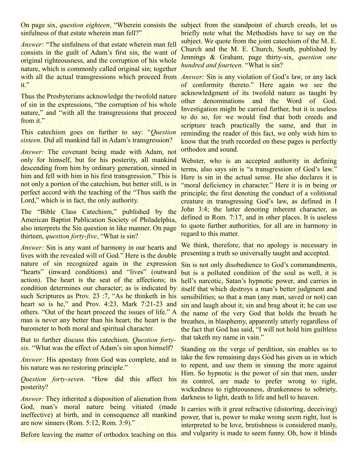On page six, *question eighteen*, "Wherein consists the subject from the standpoint of church creeds, let us sinfulness of that estate wherein man fell?"

*Answer:* "The sinfulness of that estate wherein man fell consists in the guilt of Adam's first sin, the want of original righteousness, and the corruption of his whole nature, which is commonly called original sin; together with all the actual transgressions which proceed from *Answer*: Sin is any violation of God's law, or any lack it."

Thus the Presbyterians acknowledge the twofold nature of sin in the expressions, "the corruption of his whole nature," and "with all the transgressions that proceed from it."

This catechism goes on further to say: "*Question sixteen*. Did all mankind fall in Adam's transgression?

*Answer:* The covenant being made with Adam, not only for himself, but for his posterity, all mankind descending from him by ordinary generation, sinned in him and fell with him in his first transgression." This is not only a portion of the catechism, but better still, is in perfect accord with the teaching of the "Thus saith the principle; the first denoting the conduct of a volitional Lord," which is in fact, the only authority.

The "Bible Class Catechism," published by the American Baptist Publication Society of Philadelphia, also interprets the Sin question in like manner. On page thirteen, *question forty-five*, "What is sin?

*Answer:* Sin is any want of harmony in our hearts and lives with the revealed will of God." Here is the double nature of sin recognized again in the expression Sin is not only disobedience to God's commandments, "hearts" (inward conditions) and "lives" (outward action). The heart is the seat of the affections; its condition determines our character; as is indicated by such Scriptures as Prov. 23 :7, "As he thinketh in his heart so is he," and Prov. 4:23, Mark 7:21-23 and others. "Out of the heart proceed the issues of life." A man is never any better than his heart; the heart is the barometer to both moral and spiritual character.

But to further discuss this catechism. *Question fortysix.* "What was the effect of Adam's sin upon himself?

*Answer:* His apostasy from God was complete, and in his nature was no restoring principle."

*Question forty-seven.* "How did this affect his posterity?

*Answer:* They inherited a disposition of alienation from God, man's moral nature being vitiated (made ineffective) at birth, and in consequence all mankind are now sinners (Rom. 5:12, Rom. 3:9)."

Before leaving the matter of orthodox teaching on this and vulgarity is made to seem funny. Oh, how it blinds

briefly note what the Methodists have to say on the subject. We quote from the joint cate chism of the M. E. Church and the M. E. Church, South, published by Jennings & Graham, page thirty-six, *question one hundred and fourteen.* "What is sin?

of conformity thereto." Here again we see the acknowledgment of its twofold nature as taught by other denominations and the Word of God. Investigation might be carried further, but it is useless to do so, for we would find that both creeds and scripture teach practically the same, and that in reminding the reader of this fact, we only wish him to know that the truth recorded on these pages is perfectly orthodox and sound.

Webster, who is an accepted authority in defining terms, also says sin is "a transgression of God's law." Here is sin in the actual sense. He also declares it is "moral deficiency in character." Here it is in being or creature in transgressing God's law, as defined in I John 3:4; the latter denoting inherent character, as defined in Rom. 7:17, and in other places. It is useless to quote further authorities, for all are in harmony in regard to this matter.

We think, therefore, that no apology is necessary in presenting a truth so universally taught and accepted.

but is a polluted condition of the soul as well, it is hell's narcotic, Satan's hypnotic power, and carries in itself that which destroys a man's better judgment and sensibilities; so that a man (any man, saved or not) can sin and laugh about it; sin and brag about it; he can use the name of the very God that holds the breath he breathes, in blasphemy, apparently utterly regardless of the fact that God has said, "I will not hold him guiltless that taketh my name in vain."

Standing on the verge of perdition, sin enables us to take the few remaining days God has given us in which to repent, and use them in sinning the more against Him. So hypnotic is the power of sin that men, under its control, are made to prefer wrong to right, wickedness to righteousness, drunkenness to sobriety, darkness to light, death to life and hell to heaven.

It carries with it great refractive (distorting, deceiving) power, that is, power to make wrong seem right, lust is interpreted to be love, brutishness is considered manly,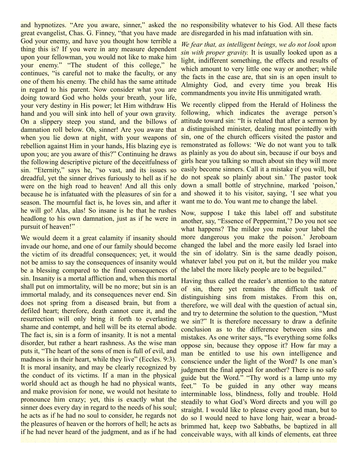and hypnotizes. "Are you aware, sinner," asked the no responsibility whatever to his God. All these facts great evangelist, Chas. G. Finney, "that you have made are disregarded in his mad infatuation with sin. God your enemy, and have you thought how terrible a thing this is? If you were in any measure dependent upon your fellowman, you would not like to make him your enemy." "The student of this college," he continues, "is careful not to make the faculty, or any one of them his enemy. The child has the same attitude in regard to his parent. Now consider what you are doing toward God who holds your breath, your life, your very destiny in His power; let Him withdraw His hand and you will sink into hell of your own gravity. On a slippery steep you stand, and the billows of damnation roll below. Oh, sinner! Are you aware that when you lie down at night, with your weapons of rebellion against Him in your hands, His blazing eye is remonstrated as follows: 'We do not want you to talk upon you; are you aware of this?" Continuing he draws the following descriptive picture of the deceitfulness of sin. "Eternity," says he, "so vast, and its issues so dreadful, yet the sinner drives furiously to hell as if he were on the high road to heaven! And all this only because he is infatuated with the pleasures of sin for a season. The mournful fact is, he loves sin, and after it he will go! Alas, alas! So insane is he that he rushes headlong to his own damnation, just as if he were in pursuit of heaven!"

We would deem it a great calamity if insanity should invade our home, and one of our family should become the victim of its dreadful consequences; yet, it would not be amiss to say the consequences of insanity would be a blessing compared to the final consequences of sin. Insanity is a mortal affliction and, when this mortal shall put on immortality, will be no more; but sin is an immortal malady, and its consequences never end. Sin does not spring from a diseased brain, but from a defiled heart; therefore, death cannot cure it, and the resurrection will only bring it forth to everlasting shame and contempt, and hell will be its eternal abode. The fact is, sin is a form of insanity. It is not a mental disorder, but rather a heart rashness. As the wise man puts it, "The heart of the sons of men is full of evil, and madness is in their heart, while they live" (Eccles, 9:3). It is moral insanity, and may be clearly recognized by the conduct of its victims. If a man in the physical world should act as though he had no physical wants, and make provision for none, we would not hesitate to pronounce him crazy; yet, this is exactly what the sinner does every day in regard to the needs of his soul; he acts as if he had no soul to consider, he regards not the pleasures of heaven or the horrors of hell; he acts as if he had never heard of the judgment, and as if he had

*We fear that, as intelligent beings, we do not look upon sin with proper gravity.* It is usually looked upon as a light, indifferent something, the effects and results of which amount to very little one way or another; while the facts in the case are, that sin is an open insult to Almighty God, and every time you break His commandments you invite His unmitigated wrath.

We recently clipped from the Herald of Holiness the following, which indicates the average person's attitude toward sin: "It is related that after a sermon by a distinguished minister, dealing most pointedly with sin, one of the church officers visited the pastor and as plainly as you do about sin, because if our boys and girls hear you talking so much about sin they will more easily become sinners. Call it a mistake if you will, but do not speak so plainly about sin.' The pastor took down a small bottle of strychnine, marked 'poison,' and showed it to his visitor, saying, 'I see what you want me to do. You want me to change the label.

Now, suppose I take this label off and substitute another, say, "Essence of Peppermint,'? Do you not see what happens? The milder you make your label the more dangerous you make the poison.' Jeroboam changed the label and the more easily led Israel into the sin of idolatry. Sin is the same deadly poison, whatever label you put on it, but the milder you make the label the more likely people are to be beguiled."

Having thus called the reader's attention to the nature of sin, there yet remains the difficult task of distinguishing sins from mistakes. From this on, therefore, we will deal with the question of actual sin, and try to determine the solution to the question, "Must we sin?" It is therefore necessary to draw a definite conclusion as to the difference between sins and mistakes. As one writer says, "Is everything some folks oppose sin, because they oppose it? How far may a man be entitled to use his own intelligence and conscience under the light of the Word? Is one man's judgment the final appeal for another? There is no safe guide but the Word." "Thy word is a lamp unto my feet." To be guided in any other way means interminable loss, blindness, folly and trouble. Hold steadily to what God's Word directs and you will go straight. I would like to please every good man, but to do so I would need to have long hair, wear a broadbrimmed hat, keep two Sabbaths, be baptized in all conceivable ways, with all kinds of elements, eat three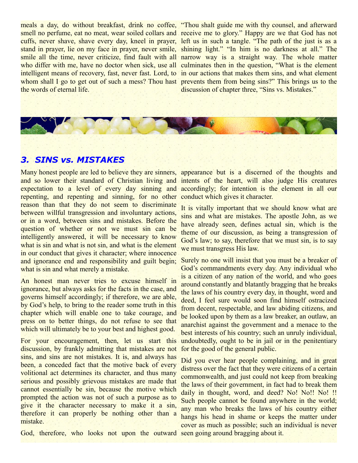smell no perfume, eat no meat, wear soiled collars and receive me to glory." Happy are we that God has not cuffs, never shave, shave every day, kneel in prayer, left us in such a tangle. "The path of the just is as a stand in prayer, lie on my face in prayer, never smile, shining light." "In him is no darkness at all." The smile all the time, never criticize, find fault with all narrow way is a straight way. The whole matter who differ with me, have no doctor when sick, use all culminates then in the question, "What is the element intelligent means of recovery, fast, never fast. Lord, to in our actions that makes them sins, and what element whom shall I go to get out of such a mess? Thou hast prevents them from being sins?" This brings us to the the words of eternal life.

meals a day, do without breakfast, drink no coffee, "Thou shalt guide me with thy counsel, and afterward discussion of chapter three, "Sins vs. Mistakes."

#### *3. SINS vs. MISTAKES*

Many honest people are led to believe they are sinners, and so lower their standard of Christian living and intents of the heart, will also judge His creatures expectation to a level of every day sinning and repenting, and repenting and sinning, for no other conduct which gives it character. reason than that they do not seem to discriminate between willful transgression and involuntary actions, or in a word, between sins and mistakes. Before the question of whether or not we must sin can be intelligently answered, it will be necessary to know what is sin and what is not sin, and what is the element in our conduct that gives it character; where innocence and ignorance end and responsibility and guilt begin; what is sin and what merely a mistake.

An honest man never tries to excuse himself in ignorance, but always asks for the facts in the case, and governs himself accordingly; if therefore, we are able, by God's help, to bring to the reader some truth in this chapter which will enable one to take courage, and press on to better things, do not refuse to see that which will ultimately be to your best and highest good.

For your encouragement, then, let us start this discussion, by frankly admitting that mistakes are not sins, and sins are not mistakes. It is, and always has been, a conceded fact that the motive back of every volitional act determines its character, and thus many serious and possibly grievous mistakes are made that cannot essentially be sin, because the motive which prompted the action was not of such a purpose as to give it the character necessary to make it a sin, therefore it can properly be nothing other than a mistake.

appearance but is a discerned of the thoughts and accordingly; for intention is the element in all our

It is vitally important that we should know what are sins and what are mistakes. The apostle John, as we have already seen, defines actual sin, which is the theme of our discussion, as being a transgression of God's law; to say, therefore that we must sin, is to say we must transgress His law.

Surely no one will insist that you must be a breaker of God's commandments every day. Any individual who is a citizen of any nation of the world, and who goes around constantly and blatantly bragging that he breaks the laws of his country every day, in thought, word and deed, I feel sure would soon find himself ostracized from decent, respectable, and law abiding citizens, and be looked upon by them as a law breaker, an outlaw, an anarchist against the government and a menace to the best interests of his country; such an unruly individual, undoubtedly, ought to be in jail or in the penitentiary for the good of the general public.

Did you ever hear people complaining, and in great distress over the fact that they were citizens of a certain commonwealth, and just could not keep from breaking the laws of their government, in fact had to break them daily in thought, word, and deed? No! No!! No!!! Such people cannot be found anywhere in the world; any man who breaks the laws of his country either hangs his head in shame or keeps the matter under cover as much as possible; such an individual is never

God, therefore, who looks not upon the outward seen going around bragging about it.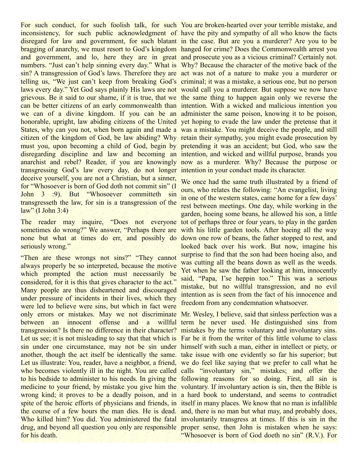inconsistency, for such public acknowledgment of have the pity and sympathy of all who know the facts disregard for law and government, for such blatant in the case. But are you a murderer? Are you to be bragging of anarchy, we must resort to God's kingdom hanged for crime? Does the Commonwealth arrest you and government, and lo, here they are in great and prosecute you as a vicious criminal? Certainly not. numbers. "Just can't help sinning every day." What is Why? Because the character of the motive back of the sin? A transgression of God's laws. Therefore they are act was not of a nature to make you a murderer or telling us, "We just can't keep from breaking God's criminal; it was a mistake, a serious one, but no person laws every day." Yet God says plainly His laws are not would call you a murderer. But suppose we now have grievous. Be it said to our shame, if it is true, that we the same thing to happen again only we reverse the can be better citizens of an early commonwealth than intention. With a wicked and malicious intention you we can of a divine kingdom. If you can be an administer the same poison, knowing it to be poison, honorable, upright, law abiding citizens of the United yet hoping to evade the law under the pretense that it States, why can you not, when born again and made a was a mistake. You might deceive the people, and still citizen of the kingdom of God, be law abiding? Why retain their sympathy, you might evade prosecution by must you, upon becoming a child of God, begin by pretending it was an accident; but God, who saw the disregarding discipline and law and becoming an intention, and wicked and willful purpose, brands you anarchist and rebel? Reader, if you are knowingly now as a murderer. Why? Because the purpose or transgressing God's law every day, do not longer intention in your conduct made its character. deceive yourself, you are not a Christian, but a sinner, for "Whosoever is born of God doth not commit sin" (I John 3 :9). But "Whosoever committeth sin transgresseth the law, for sin is a transgression of the  $law''$  (I John 3:4)

sometimes do wrong?" We answer, "Perhaps there are with his little garden tools. After hoeing all the way none but what at times do err, and possibly do down one row of beans, the father stopped to rest, and seriously wrong."

"Then are these wrongs not sins?" "They cannot always properly be so interpreted, because the motive which prompted the action must necessarily be considered, for it is this that gives character to the act." Many people are thus disheartened and discouraged under pressure of incidents in their lives, which they were led to believe were sins, but which in fact were only errors or mistakes. May we not discriminate Mr. Wesley, I believe, said that sinless perfection was a between an innocent offense and a willful term he never used. He distinguished sins from transgression? Is there no difference in their character? mistakes by the terms voluntary and involuntary sins. Let us see; it is not misleading to say that that which is Far be it from the writer of this little volume to class sin under one circumstance, may not be sin under himself with such a man, either in intellect or piety, or another, though the act itself be identically the same. take issue with one evidently so far his superior; but Let us illustrate: You, reader, have a neighbor, a friend, we do feel like saying that we prefer to call what he who becomes violently ill in the night. You are called calls "involuntary sin," mistakes; and offer the to his bedside to administer to his needs. In giving the following reasons for so doing. First, all sin is medicine to your friend, by mistake you give him the voluntary. If involuntary action is sin, then the Bible is wrong kind; it proves to be a deadly poison, and in a hard book to understand, and seems to contradict spite of the heroic efforts of physicians and friends, in itself in many places. We know that no man is infallible the course of a few hours the man dies. He is dead. and, there is no man but what may, and probably does, Who killed him? You did. You administered the fatal involuntarily transgress at times. If this is sin in the drug, and beyond all question you only are responsible proper sense, then John is mistaken when he says: for his death.

For such conduct, for such foolish talk, for such You are broken-hearted over your terrible mistake, and

The reader may inquire, "Does not everyone tot of perhaps three or four years, to play in the garden We once had the same truth illustrated by a friend of ours, who relates the following: "An evangelist, living in one of the western states, came home for a few days' rest between meetings. One day, while working in the garden, hoeing some beans, he allowed his son, a little looked back over his work. But now, imagine his surprise to find that the son had been hoeing also, and was cutting all the beans down as well as the weeds. Yet when he saw the father looking at him, innocently said, "Papa, I'se heppin too." This was a serious mistake, but no willful transgression, and no evil intention as is seen from the fact of his innocence and freedom from any condemnation whatsoever.

"Whosoever is born of God doeth no sin" (R.V.). For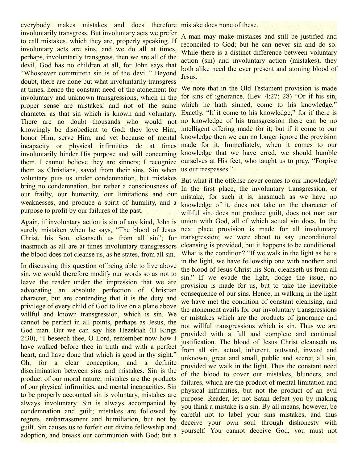everybody makes mistakes and does therefore mistake does none of these. involuntarily transgress. But involuntary acts we prefer to call mistakes, which they are, properly speaking. If involuntary acts are sins, and we do all at times, perhaps, involuntarily transgress, then we are all of the devil, God has no children at all, for John says that "Whosoever committeth sin is of the devil." Beyond doubt, there are none but what involuntarily transgress at times, hence the constant need of the atonement for involuntary and unknown transgressions, which in the proper sense are mistakes, and not of the same character as that sin which is known and voluntary. There are no doubt thousands who would not no knowledge of his transgression there can be no knowingly be disobedient to God: they love Him, honor Him, serve Him, and yet because of mental incapacity or physical infirmities do at times made for it. Immediately, when it comes to our involuntarily hinder His purpose and will concerning them. I cannot believe they are sinners; I recognize them as Christians, saved from their sins. Sin when voluntary puts us under condemnation, but mistakes bring no condemnation, but rather a consciousness of our frailty, our humanity, our limitations and our weaknesses, and produce a spirit of humility, and a purpose to profit by our failures of the past.

Again, if involuntary action is sin of any kind, John is surely mistaken when he says, "The blood of Jesus Christ, his Son, cleanseth us from all sin"; for inasmuch as all are at times involuntary transgressors the blood does not cleanse us, as he states, from all sin.

In discussing this question of being able to live above sin, we would therefore modify our words so as not to leave the reader under the impression that we are advocating an absolute perfection of Christian character, but are contending that it is the duty and privilege of every child of God to live on a plane above willful and known transgression, which is sin. We cannot be perfect in all points, perhaps as Jesus, the God man. But we can say like Hezekiah (II Kings 2:30), "I beseech thee, O Lord, remember now how I have walked before thee in truth and with a perfect heart, and have done that which is good in thy sight." Oh, for a clear conception, and a definite discrimination between sins and mistakes. Sin is the product of our moral nature; mistakes are the products of our physical infirmities, and mental incapacities. Sin to be properly accounted sin is voluntary, mistakes are always involuntary. Sin is always accompanied by condemnation and guilt; mistakes are followed by regrets, embarrassment and humiliation, but not by guilt. Sin causes us to forfeit our divine fellowship and adoption, and breaks our communion with God; but a

A man may make mistakes and still be justified and reconciled to God; but he can never sin and do so. While there is a distinct difference between voluntary action (sin) and involuntary action (mistakes), they both alike need the ever present and atoning blood of Jesus.

We note that in the Old Testament provision is made for sins of ignorance. (Lev. 4:27; 28) "Or if his sin, which he hath sinned, come to his knowledge." Exactly. "If it come to his knowledge," for if there is intelligent offering made for it; but if it come to our knowledge then we can no longer ignore the provision knowledge that we have erred, we should humble ourselves at His feet, who taught us to pray, "Forgive us our trespasses."

But what if the offense never comes to our knowledge? In the first place, the involuntary transgression, or mistake, for such it is, inasmuch as we have no knowledge of it, does not take on the character of willful sin, does not produce guilt, does not mar our union with God, all of which actual sin does. In the next place provision is made for all involuntary transgression; we were about to say unconditional cleansing is provided, but it happens to be conditional. What is the condition? "If we walk in the light as he is in the light, we have fellowship one with another; and the blood of Jesus Christ his Son, cleanseth us from all sin." If we evade the light, dodge the issue, no provision is made for us, but to take the inevitable consequence of our sins. Hence, in walking in the light we have met the condition of constant cleansing, and the atonement avails for our involuntary transgressions or mistakes which are the products of ignorance and not willful transgressions which is sin. Thus we are provided with a full and complete and continual justification. The blood of Jesus Christ cleanseth us from all sin, actual, inherent, outward, inward and unknown, great and small, public and secret; all sin, provided we walk in the light. Thus the constant need of the blood to cover our mistakes, blunders, and failures, which are the product of mental limitation and physical infirmities, but not the product of an evil purpose. Reader, let not Satan defeat you by making you think a mistake is a sin. By all means, however, be careful not to label your sins mistakes, and thus deceive your own soul through dishonesty with yourself. You cannot deceive God, you must not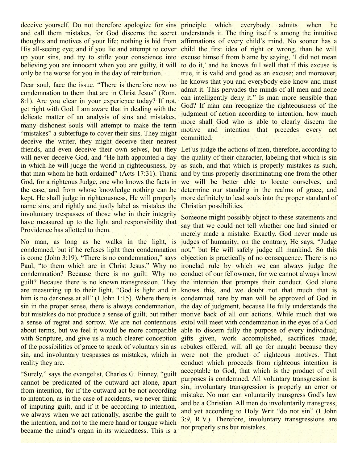deceive yourself. Do not therefore apologize for sins principle which and call them mistakes, for God discerns the secret understands it. The thing itself is among the intuitive thoughts and motives of your life; nothing is hid from affirmations of every child's mind. No sooner has a His all-seeing eye; and if you lie and attempt to cover child the first idea of right or wrong, than he will up your sins, and try to stifle your conscience into excuse himself from blame by saying, 'I did not mean believing you are innocent when you are guilty, it will to do it,' and he knows full well that if this excuse is only be the worse for you in the day of retribution.

Dear soul, face the issue. "There is therefore now no condemnation to them that are in Christ Jesus" (Rom. 8:1). Are you clear in your experience today? If not, get right with God. I am aware that in dealing with the delicate matter of an analysis of sins and mistakes, many dishonest souls will attempt to make the term "mistakes" a subterfuge to cover their sins. They might deceive the writer, they might deceive their nearest friends, and even deceive their own selves, but they Let us judge the actions of men, therefore, according to will never deceive God, and "He hath appointed a day the quality of their character, labeling that which is sin in which he will judge the world in righteousness, by as such, and that which is properly mistakes as such, that man whom he hath ordained" (Acts 17:31). Thank and by thus properly discriminating one from the other God, for a righteous Judge, one who knows the facts in we will be better able to locate ourselves, and the case, and from whose knowledge nothing can be determine our standing in the realms of grace, and kept. He shall judge in righteousness, He will properly more definitely to lead souls into the proper standard of name sins, and rightly and justly label as mistakes the Christian possibilities. involuntary trespasses of those who in their integrity have measured up to the light and responsibility that Providence has allotted to them.

No man, as long as he walks in the light, is judges of humanity; on the contrary, He says, "Judge condemned, but if he refuses light then condemnation not," but He will safely judge all mankind. So this is come (John 3:19). "There is no condemnation," says objection is practically of no consequence. There is no Paul, "to them which are in Christ Jesus." Why no ironclad rule by which we can always judge the condemnation? Because there is no guilt. Why no conduct of our fellowmen, for we cannot always know guilt? Because there is no known transgression. They the intention that prompts their conduct. God alone are measuring up to their light. "God is light and in knows this, and we doubt not that much that is him is no darkness at all" (I John 1:15). Where there is condemned here by man will be approved of God in sin in the proper sense, there is always condemnation, the day of judgment, because He fully understands the but mistakes do not produce a sense of guilt, but rather motive back of all our actions. While much that we a sense of regret and sorrow. We are not contentious extol will meet with condemnation in the eyes of a God about terms, but we feel it would be more compatible able to discern fully the purpose of every individual; with Scripture, and give us a much clearer conception gifts given, work accomplished, sacrifices made, of the possibilities of grace to speak of voluntary sin as rebukes offered, will all go for naught because they sin, and involuntary trespasses as mistakes, which in were not the product of righteous motives. That reality they are.

"Surely," says the evangelist, Charles G. Finney, "guilt cannot be predicated of the outward act alone, apart from intention, for if the outward act be not according to intention, as in the case of accidents, we never think of imputing guilt, and if it be according to intention, we always when we act rationally, ascribe the guilt to the intention, and not to the mere hand or tongue which became the mind's organ in its wickedness. This is a

everybody admits when he true, it is valid and good as an excuse; and moreover, he knows that you and everybody else know and must admit it. This pervades the minds of all men and none can intelligently deny it." Is man more sensible than God? If man can recognize the righteousness of the judgment of action according to intention, how much more shall God who is able to clearly discern the motive and intention that precedes every act committed.

Someone might possibly object to these statements and say that we could not tell whether one had sinned or merely made a mistake. Exactly. God never made us conduct which proceeds from righteous intention is acceptable to God, that which is the product of evil purposes is condemned. All voluntary transgression is sin, involuntary transgression is properly an error or mistake. No man can voluntarily transgress God's law and be a Christian. All men do involuntarily transgress, and yet according to Holy Writ "do not sin" (I John 3:9, R.V.). Therefore, involuntary transgressions are not properly sins but mistakes.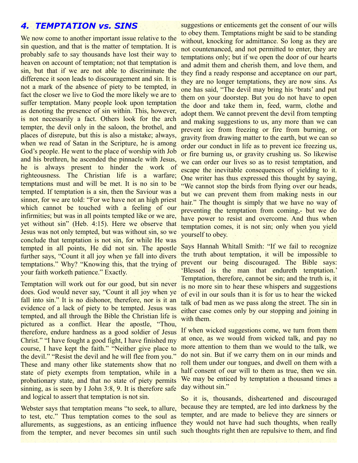#### *4. TEMPTATION vs. SINS*

We now come to another important issue relative to the sin question, and that is the matter of temptation. It is probably safe to say thousands have lost their way to heaven on account of temptation; not that temptation is sin, but that if we are not able to discriminate the difference it soon leads to discouragement and sin. It is not a mark of the absence of piety to be tempted, in fact the closer we live to God the more likely we are to suffer temptation. Many people look upon temptation as denoting the presence of sin within. This, however, is not necessarily a fact. Others look for the arch tempter, the devil only in the saloon, the brothel, and places of disrepute, but this is also a mistake; always, when we read of Satan in the Scripture, he is among God's people. He went to the place of worship with Job and his brethren, he ascended the pinnacle with Jesus, he is always present to hinder the work of righteousness. The Christian life is a warfare; temptations must and will be met. It is no sin to be tempted. If temptation is a sin, then the Saviour was a sinner, for we are told: "For we have not an high priest" which cannot be touched with a feeling of our infirmities; but was in all points tempted like or we are, yet without sin" (Heb. 4:15). Here we observe that Jesus was not only tempted, but was without sin, so we conclude that temptation is not sin, for while He was tempted in all points, He did not sin. The apostle further says, "Count it all joy when ye fall into divers temptations." Why? "Knowing this, that the trying of your faith worketh patience." Exactly.

Temptation will work out for our good, but sin never does. God would never say, "Count it all joy when ye fall into sin." It is no dishonor, therefore, nor is it an evidence of a lack of piety to be tempted. Jesus was tempted, and all through the Bible the Christian life is pictured as a conflict. Hear the apostle, "Thou, therefore, endure hardness as a good soldier of Jesus Christ." "I have fought a good fight, I have finished my course, I have kept the faith." "Neither give place to the devil." "Resist the devil and he will flee from you." These and many other like statements show that no state of piety exempts from temptation, while in a probationary state, and that no state of piety permits sinning, as is seen by I John 3:8, 9. It is therefore safe and logical to assert that temptation is not sin.

Webster says that temptation means "to seek, to allure, to test, etc." Thus temptation comes to the soul as allurements, as suggestions, as an enticing influence from the tempter, and never becomes sin until such

suggestions or enticements get the consent of our wills to obey them. Temptations might be said to be standing without, knocking for admittance. So long as they are not countenanced, and not permitted to enter, they are temptations only; but if we open the door of our hearts and admit them and cherish them, and love them, and they find a ready response and acceptance on our part, they are no longer temptations, they are now sins. As one has said, "The devil may bring his 'brats' and put them on your doorstep. But you do not have to open the door and take them in, feed, warm, clothe and adopt them. We cannot prevent the devil from tempting and making suggestions to us, any more than we can prevent ice from freezing or fire from burning, or gravity from drawing matter to the earth, but we can so order our conduct in life as to prevent ice freezing us, or fire burning us, or gravity crushing us. So likewise we can order our lives so as to resist temptation, and escape the inevitable consequences of yielding to it. One writer has thus expressed this thought by saying, "We cannot stop the birds from flying over our heads, but we can prevent them from making nests in our hair." The thought is simply that we have no way of preventing the temptation from coming,- but we do have power to resist and overcome. And thus when temptation comes, it is not sin; only when you yield yourself to obey.

Says Hannah Whitall Smith: "If we fail to recognize the truth about temptation, it will be impossible to prevent our being discouraged. The Bible says: 'Blessed is the man that endureth temptation.' Temptation, therefore, cannot be sin; and the truth is, it is no more sin to hear these whispers and suggestions of evil in our souls than it is for us to hear the wicked talk of bad men as we pass along the street. The sin in either case comes only by our stopping and joining in with them.

If when wicked suggestions come, we turn from them at once, as we would from wicked talk, and pay no more attention to them than we would to the talk, we do not sin. But if we carry them on in our minds and roll them under our tongues, and dwell on them with a half consent of our will to them as true, then we sin. We may be enticed by temptation a thousand times a day without sin."

So it is, thousands, disheartened and discouraged because they are tempted, are led into darkness by the tempter, and are made to believe they are sinners or they would not have had such thoughts, when really such thoughts right then are repulsive to them, and find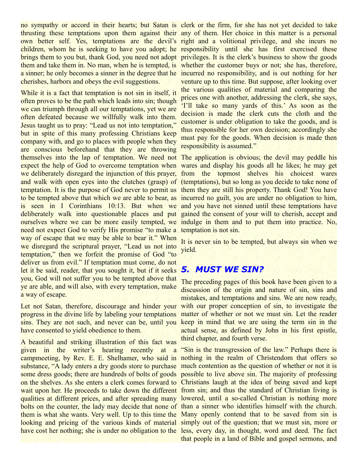no sympathy or accord in their hearts; but Satan is clerk or the firm, for she has not yet decided to take thrusting these temptations upon them against their any of them. Her choice in this matter is a personal own better self. Yes, temptations are the devil's right and a volitional privilege, and she incurs no children, whom he is seeking to have you adopt; he responsibility until she has first exercised these brings them to you but, thank God, you need not adopt privileges. It is the clerk's business to show the goods them and take them in. No man, when he is tempted, is whether the customer buys or not; she has, therefore, a sinner; he only becomes a sinner in the degree that he incurred no responsibility, and is out nothing for her cherishes, harbors and obeys the evil suggestions.

While it is a fact that temptation is not sin in itself, it often proves to be the path which leads into sin; though we can triumph through all our temptations, yet we are often defeated because we willfully walk into them. Jesus taught us to pray: "Lead us not into temptation," but in spite of this many professing Christians keep company with, and go to places with people when they are conscious beforehand that they are throwing themselves into the lap of temptation. We need not The application is obvious; the devil may peddle his expect the help of God to overcome temptation when wares and display his goods all he likes; he may get we deliberately disregard the injunction of this prayer, from the topmost shelves his choicest wares and walk with open eyes into the clutches (grasp) of (temptations), but so long as you decide to take none of temptation. It is the purpose of God never to permit us them they are still his property. Thank God! You have to be tempted above that which we are able to bear, as incurred no guilt, you are under no obligation to him, is seen in I Corinthians 10:13. But when we and you have not sinned until these temptations have deliberately walk into questionable places and put gained the consent of your will to cherish, accept and ourselves where we can be more easily tempted, we indulge in them and to put them into practice. No, need not expect God to verify His promise "to make a temptation is not sin. way of escape that we may be able to bear it." When we disregard the scriptural prayer, "Lead us not into temptation," then we forfeit the promise of God "to deliver us from evil." If temptation must come, do not let it be said, reader, that you sought it, but if it seeks you, God will not suffer you to be tempted above that ye are able, and will also, with every temptation, make a way of escape.

progress in the divine life by labeling your temptations sins. They are not such, and never can be, until you keep in mind that we are using the term sin in the have consented to yield obedience to them.

A beautiful and striking illustration of this fact was given in the writer's hearing recently at a "Sin is the transgression of the law." Perhaps there is campmeeting, by Rev. E. E. Shelhamer, who said in nothing in the realm of Christendom that offers so substance, "A lady enters a dry goods store to purchase much contention as the question of whether or not it is some dress goods; there are hundreds of bolts of goods possible to live above sin. The majority of professing on the shelves. As she enters a clerk comes forward to Christians laugh at the idea of being saved and kept wait upon her. He proceeds to take down the different from sin; and thus the standard of Christian living is qualities at different prices, and after spreading many lowered, until a so-called Christian is nothing more bolts on the counter, the lady may decide that none of than a sinner who identifies himself with the church. them is what she wants. Very well. Up to this time the Many openly contend that to be saved from sin is looking and pricing of the various kinds of material simply out of the question; that we must sin, more or have cost her nothing; she is under no obligation to the less, every day, in thought, word and deed. The fact

venture up to this time. But suppose, after looking over the various qualities of material and comparing the prices one with another, addressing the clerk, she says, 'I'll take so many yards of this.' As soon as the decision is made the clerk cuts the cloth and the customer is under obligation to take the goods, and is thus responsible for her own decision; accordingly she must pay for the goods. When decision is made then responsibility is assumed."

It is never sin to be tempted, but always sin when we yield.

#### *5. MUST WE SIN?*

Let not Satan, therefore, discourage and hinder your with our proper conception of sin, to investigate the The preceding pages of this book have been given to a discussion of the origin and nature of sin, sins and mistakes, and temptations and sins. We are now ready, matter of whether or not we must sin. Let the reader actual sense, as defined by John in his first epistle, third chapter, and fourth verse.

that people in a land of Bible and gospel sermons, and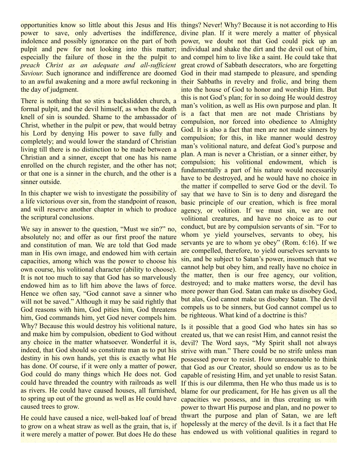opportunities know so little about this Jesus and His things? Never! Why? Because it is not according to His power to save, only advertises the indifference, divine plan. If it were merely a matter of physical indolence and possibly ignorance on the part of both power, we doubt not that God could pick up an pulpit and pew for not looking into this matter; individual and shake the dirt and the devil out of him, especially the failure of those in the the pulpit to and compel him to live like a saint. He could take that *preach Christ as an adequate and all-sufficient Saviour*. Such ignorance and indifference are doomed God in their mad stampede to pleasure, and spending to an awful awakening and a more awful reckoning in their Sabbaths in revelry and frolic, and bring them the day of judgment.

There is nothing that so stirs a backslidden church, a formal pulpit, and the devil himself, as when the death knell of sin is sounded. Shame to the ambassador of Christ, whether in the pulpit or pew, that would betray his Lord by denying His power to save fully and completely; and would lower the standard of Christian living till there is no distinction to be made between a Christian and a sinner, except that one has his name enrolled on the church register, and the other has not; or that one is a sinner in the church, and the other is a sinner outside.

In this chapter we wish to investigate the possibility of a life victorious over sin, from the standpoint of reason, and will reserve another chapter in which to produce the scriptural conclusions.

We say in answer to the question, "Must we sin?" no, absolutely no; and offer as our first proof the nature and constitution of man. We are told that God made man in His own image, and endowed him with certain capacities, among which was the power to choose his own course, his volitional character (ability to choose). It is not too much to say that God has so marvelously endowed him as to lift him above the laws of force. Hence we often say, "God cannot save a sinner who will not be saved." Although it may be said rightly that God reasons with him, God pities him, God threatens him, God commands him, yet God never compels him. Why? Because this would destroy his volitional nature, Is it possible that a good God who hates sin has so and make him by compulsion, obedient to God without any choice in the matter whatsoever. Wonderful it is, devil? The Word says, "My Spirit shall not always indeed, that God should so constitute man as to put his destiny in his own hands, yet this is exactly what He has done. Of course, if it were only a matter of power, God could do many things which He does not. God could have threaded the country with railroads as well as rivers. He could have caused houses, all furnished, blame for our predicament, for He has given us all the to spring up out of the ground as well as He could have caused trees to grow.

He could have caused a nice, well-baked loaf of bread to grow on a wheat straw as well as the grain, that is, if it were merely a matter of power. But does He do these

great crowd of Sabbath desecrators, who are forgetting into the house of God to honor and worship Him. But this is not God's plan; for in so doing He would destroy man's volition, as well as His own purpose and plan. It is a fact that men are not made Christians by compulsion, nor forced into obedience to Almighty God. It is also a fact that men are not made sinners by compulsion; for this, in like manner would destroy man's volitional nature, and defeat God's purpose and plan. A man is never a Christian, or a sinner either, by compulsion; his volitional endowment, which is fundamentally a part of his nature would necessarily have to be destroyed, and he would have no choice in the matter if compelled to serve God or the devil. To say that we have to Sin is to deny and disregard the basic principle of our creation, which is free moral agency, or volition. If we must sin, we are not volitional creatures, and have no choice as to our conduct, but are by compulsion servants of sin. "For to whom ye yield yourselves, servants to obey, his servants ye are to whom ye obey" (Rom. 6:16). If we are compelled, therefore, to yield ourselves servants to sin, and be subject to Satan's power, insomuch that we cannot help but obey him, and really have no choice in the matter, then is our free agency, our volition, destroyed; and to make matters worse, the devil has more power than God. Satan can make us disobey God, but alas, God cannot make us disobey Satan. The devil compels us to be sinners, but God cannot compel us to be righteous. What kind of a doctrine is this?

created us, that we can resist Him, and cannot resist the strive with man." There could be no strife unless man possessed power to resist. How unreasonable to think that God as our Creator, should so endow us as to be capable of resisting Him, and yet unable to resist Satan. If this is our dilemma, then He who thus made us is to capacities we possess, and in thus creating us with power to thwart His purpose and plan, and no power to thwart the purpose and plan of Satan, we are left hopelessly at the mercy of the devil. Is it a fact that He has endowed us with volitional qualities in regard to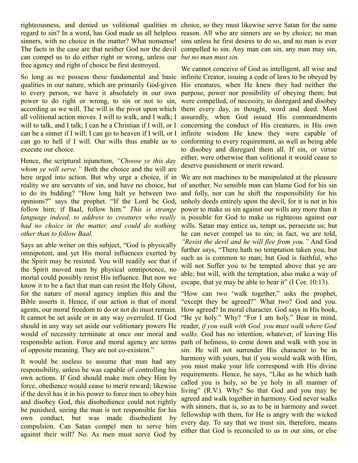regard to sin? In a word, has God made us all helpless reason. All who are sinners are so by choice; no man sinners, with no choice in the matter? What nonsense! sins unless he first desires to do so, and no man is ever The facts in the case are that neither God nor the devil compelled to sin. Any man can sin, any man may sin, can compel us to do either right or wrong, unless our *but no man must sin.* free agency and right of choice be first destroyed.

So long as we possess these fundamental and basic infinite Creator, issuing a code of laws to be obeyed by qualities in our nature, which are primarily God-given His creatures, when He knew they had neither the to every person, we have it absolutely in our own purpose, power nor possibility of obeying them; but power to do right or wrong, to sin or not to sin, were compelled, of necessity, to disregard and disobey according as we will. The will is the pivot upon which them every day, in thought, word and deed. Most all volitional action moves. I will to walk, and I walk; I assuredly, when God issued His commandments will to talk, and I talk; I can be a Christian if I will, or I concerning the conduct of His creatures, in His own can be a sinner if I will; I can go to heaven if I will, or I infinite wisdom He knew they were capable of can go to hell if I will. Our wills thus enable us to conforming to every requirement, as well as being able execute our choice.

Hence, the scriptural injunction, *"Choose ye this day whom ye will serve."* Both the choice and the will are here urged into action. But why urge a choice, if in We are not machines to be manipulated at the pleasure reality we are servants of sin, and have no choice, but to do its bidding? "How long halt ye between two opinions?" says the prophet. "If the Lord be God, unholy deeds entirely upon the devil, for it is not in his follow him; if Baal, follow him." *This is strange language indeed, to address to creatures who really* had no choice in the matter, and could do nothing wills. Satan may entice us, tempt us, persecute us; but *other than to follow Baal.*

Says an able writer on this subject, "God is physically omnipotent, and yet His moral influences exerted by the Spirit may be resisted. You will readily see that if the Spirit moved men by physical omnipotence, no mortal could possibly resist His influence. But now we know it to be a fact that man can resist the Holy Ghost, for the nature of moral agency implies this and the Bible asserts it. Hence, if our action is that of moral agents, our moral freedom to do or not do must remain. How agreed? In moral character. God says in His book, It cannot be set aside or in any way overruled. If God "Be ye holy." Why? "For I am holy." Bear in mind, should in any way set aside our volitionary powers He reader, *if you walk with God, you must walk where God* would of necessity terminate at once our moral and *walks.* God has no intention, whatever, of leaving His responsible action. Force and moral agency are terms path of holiness, to come down and walk with you in of opposite meaning. They are not co-existent."

It would be useless to assume that man had any responsibility, unless he was capable of controlling his own actions. If God should make men obey Him by force, obedience would cease to merit reward; likewise if the devil has it in his power to force men to obey him and disobey God, this disobedience could not rightly be punished, seeing the man is not responsible for his own conduct, but was made disobedient by compulsion. Can Satan compel men to serve him against their will? No. As men must serve God by

righteousness, and denied us volitional qualities m choice, so they must likewise serve Satan for the same

We cannot conceive of God as intelligent, all wise and to disobey and disregard them all. If sin, or virtue either, were otherwise than volitional it would cease to deserve punishment or merit reward.

of another. No sensible man can blame God for his sin and folly, nor can he shift the responsibility for his power to make us sin against our wills any more than it is possible for God to make us righteous against our he can never compel us to sin; in fact, we are told, *"Resist the devil and he will flee from you."* And God further says, "There hath no temptation taken you, but such as is common to man; but God is faithful, who will not Suffer you to be tempted above that ye are able; but will, with the temptation, also make a way of escape, that ye may be able to bear it" (I Cor. 10:13).

"How can two 'walk together," asks the prophet, "except they be agreed?" What two? God and you. sin. He will not surrender His character to be in harmony with yours, but if you would walk with Him, you must make your life correspond with His divine requirements. Hence, he says, "Like as he which hath called you is holy, so be ye holy in all manner of living" (R.V.). Why? So that God and you may be agreed and walk together in harmony. God never walks with sinners, that is, so as to be in harmony and sweet fellowship with them, for He is angry with the wicked every day. To say that we must sin, therefore, means either that God is reconciled to us in our sins, or else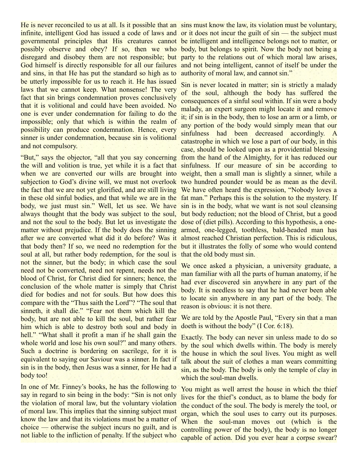He is never reconciled to us at all. Is it possible that an sins must know the law, its violation must be voluntary, infinite, intelligent God has issued a code of laws and or it does not incur the guilt of sin — the subject must governmental principles that His creatures cannot be intelligent and intelligence belongs not to matter, or possibly observe and obey? If so, then we who body, but belongs to spirit. Now the body not being a disregard and disobey them are not responsible; but party to the relations out of which moral law arises, God himself is directly responsible for all our failures and not being intelligent, cannot of itself be under the and sins, in that He has put the standard so high as to be utterly impossible for us to reach it. He has issued laws that we cannot keep. What nonsense! The very fact that sin brings condemnation proves conclusively that it is volitional and could have been avoided. No one is ever under condemnation for failing to do the impossible; only that which is within the realm of possibility can produce condemnation. Hence, every sinner is under condemnation, because sin is volitional and not compulsory.

"But," says the objector, "all that you say concerning from the hand of the Almighty, for it has reduced our the will and volition is true, yet while it is a fact that sinfulness. If our measure of sin be according to when we are converted our wills are brought into weight, then a small man is slightly a sinner, while a subjection to God's divine will, we must not overlook two hundred pounder would be as mean as the devil. the fact that we are not yet glorified, and are still living We have often heard the expression, "Nobody loves a in these old sinful bodies, and that while we are in the fat man." Perhaps this is the solution to the mystery. If body, we just must sin." Well, let us see. We have sin is in the body, what we want is not soul cleansing always thought that the body was subject to the soul, but body reduction; not the blood of Christ, but a good and not the soul to the body. But let us investigate the dose of (diet pills). According to this hypothesis, a onematter without prejudice. If the body does the sinning armed, one-legged, toothless, bald-headed man has after we are converted what did it do before? Was it almost reached Christian perfection. This is ridiculous, that body then? If so, we need no redemption for the but it illustrates the folly of some who would contend soul at all, but rather body redemption, for the soul is not the sinner, but the body; in which case the soul need not be converted, need not repent, needs not the blood of Christ, for Christ died for sinners; hence, the conclusion of the whole matter is simply that Christ died for bodies and not for souls. But how does this compare with the "Thus saith the Lord"? "The soul that sinneth, it shall die." "Fear not them which kill the body, but are not able to kill the soul, but rather fear him which is able to destroy both soul and body in hell." "What shall it profit a man if he shall gain the whole world and lose his own soul?" and many others. Such a doctrine is bordering on sacrilege, for it is equivalent to saying our Saviour was a sinner. In fact if sin is in the body, then Jesus was a sinner, for He had a body too!

In one of Mr. Finney's books, he has the following to say in regard to sin being in the body: "Sin is not only the violation of moral law, but the voluntary violation of moral law. This implies that the sinning subject must know the law and that its violations must be a matter of choice — otherwise the subject incurs no guilt, and is not liable to the infliction of penalty. If the subject who

authority of moral law, and cannot sin."

Sin is never located in matter; sin is strictly a malady of the soul, although the body has suffered the consequences of a sinful soul within. If sin were a body malady, an expert surgeon might locate it and remove it; if sin is in the body, then to lose an arm or a limb, or any portion of the body would simply mean that our sinfulness had been decreased accordingly. A catastrophe in which we lose a part of our body, in this case, should be looked upon as a providential blessing that the old body must sin.

We once asked a physician, a university graduate, a man familiar with all the parts of human anatomy, if he had ever discovered sin anywhere in any part of the body. It is needless to say that he had never been able to locate sin anywhere in any part of the body. The reason is obvious: it is not there.

We are told by the Apostle Paul, "Every sin that a man doeth is without the body" (I Cor. 6:18).

Exactly. The body can never sin unless made to do so by the soul which dwells within. The body is merely the house in which the soul lives. You might as well talk about the suit of clothes a man wears committing sin, as the body. The body is only the temple of clay in which the soul-man dwells.

You might as well arrest the house in which the thief lives for the thief's conduct, as to blame the body for the conduct of the soul. The body is merely the tool, or organ, which the soul uses to carry out its purposes. When the soul-man moves out (which is the controlling power of the body), the body is no longer capable of action. Did you ever hear a corpse swear?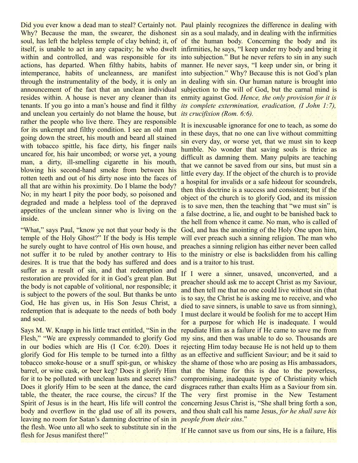Why? Because the man, the swearer, the dishonest sin as a soul malady, and in dealing with the infirmities soul, has left the helpless temple of clay behind; it, of of the human body. Concerning the body and its itself, is unable to act in any capacity; he who dwelt infirmities, he says, "I keep under my body and bring it within and controlled, and was responsible for its into subjection." But he never refers to sin in any such actions, has departed. When filthy habits, habits of manner. He never says, "I keep under sin, or bring it intemperance, habits of uncleanness, are manifest into subjection." Why? Because this is not God's plan through the instrumentality of the body, it is only an in dealing with sin. Our human nature is brought into announcement of the fact that an unclean individual subjection to the will of God, but the carnal mind is resides within. A house is never any cleaner than its enmity against God. *Hence, the only provision for it is* tenants. If you go into a man's house and find it filthy *its complete extermination, eradication, (I John 1:7),* and unclean you certainly do not blame the house, but *its crucifixion (Rom. 6:6).* rather the people who live there. They are responsible for its unkempt and filthy condition. I see an old man going down the street, his mouth and beard all stained with tobacco spittle, his face dirty, his finger nails uncared for, his hair uncombed; or worse yet, a young man, a dirty, ill-smelling cigarette in his mouth, blowing his second-hand smoke from between his rotten teeth and out of his dirty nose into the faces of all that are within his proximity. Do I blame the body? No; in my heart I pity the poor body, so poisoned and degraded and made a helpless tool of the depraved appetites of the unclean sinner who is living on the inside.

"What," says Paul, "know ye not that your body is the God, and has the anointing of the Holy One upon him, temple of the Holy Ghost?" If the body is His temple he surely ought to have control of His own house, and preaches a sinning religion has either never been called not suffer it to be ruled by another contrary to His to the ministry or else is backslidden from his calling desires. It is true that the body has suffered and does suffer as a result of sin, and that redemption and restoration are provided for it in God's great plan. But the body is not capable of volitional, nor responsible; it is subject to the powers of the soul. But thanks be unto God, He has given us, in His Son Jesus Christ, a redemption that is adequate to the needs of both body and soul.

Says M. W. Knapp in his little tract entitled, "Sin in the repudiate Him as a failure if He came to save me from Flesh," "We are expressly commanded to glorify God my sins, and then was unable to do so. Thousands are in our bodies which are His (I Cor. 6:20). Does it rejecting Him today because He is not held up to them glorify God for His temple to be turned into a filthy as an effective and sufficient Saviour; and be it said to tobacco smoke-house or a snuff spit-gun, or whiskey the shame of those who are posing as His ambassadors, barrel, or wine cask, or beer keg? Does it glorify Him that the blame for this is due to the powerless, for it to be polluted with unclean lusts and secret sins? compromising, inadequate type of Christianity which Does it glorify Him to be seen at the dance, the card disgraces rather than exalts Him as a Saviour from sin. table, the theater, the race course, the circus? If the The very first promise in the New Testament Spirit of Jesus is in the heart, His life will control the concerning Jesus Christ is, "She shall bring forth a son, body and overflow in the glad use of all its powers, and thou shalt call his name Jesus, *for he shall save his* leaving no room for Satan's damning doctrine of sin in *people from their sins*." the flesh. Woe unto all who seek to substitute sin in the flesh for Jesus manifest there!"

Did you ever know a dead man to steal? Certainly not. Paul plainly recognizes the difference in dealing with

It is inexcusable ignorance for one to teach, as some do in these days, that no one can live without committing sin every day, or worse yet, that we must sin to keep humble. No wonder that saving souls is thrice as difficult as damning them. Many pulpits are teaching that we cannot be saved from our sins, but must sin a little every day. If the object of the church is to provide a hospital for invalids or a safe hideout for scoundrels, then this doctrine is a success and consistent; but if the object of the church is to glorify God, and its mission is to save men, then the teaching that "we must sin" is a false doctrine, a lie, and ought to be banished back to the hell from whence it came. No man, who is called of will ever preach such a sinning religion. The man who and is a traitor to his trust.

If I were a sinner, unsaved, unconverted, and a preacher should ask me to accept Christ as my Saviour, and then tell me that no one could live without sin (that is to say, the Christ he is asking me to receive, and who died to save sinners, is unable to save us from sinning), I must declare it would be foolish for me to accept Him for a purpose for which He is inadequate. I would

If He cannot save us from our sins, He is a failure, His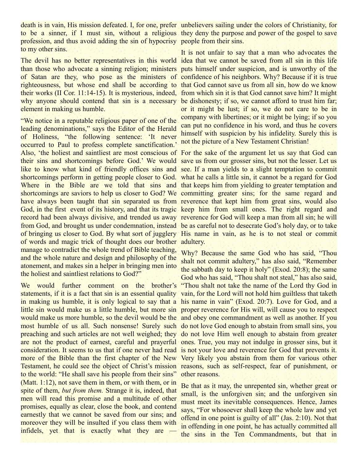death is in vain, His mission defeated. I, for one, prefer unbelievers sailing under the colors of Christianity, for to be a sinner, if I must sin, without a religious they deny the purpose and power of the gospel to save profession, and thus avoid adding the sin of hypocrisy people from their sins. to my other sins.

The devil has no better representatives in this world idea that we cannot be saved from all sin in this life than those who advocate a sinning religion; ministers puts himself under suspicion, and is unworthy of the of Satan are they, who pose as the ministers of confidence of his neighbors. Why? Because if it is true righteousness, but whose end shall be according to that God cannot save us from all sin, how do we know their works (II Cor. 11:14-15). It is mysterious, indeed, from which sin it is that God cannot save him? It might why anyone should contend that sin is a necessary be dishonesty; if so, we cannot afford to trust him far; element in making us humble.

"We notice in a reputable religious paper of one of the leading denominations," says the Editor of the Herald of Holiness, "the following sentence: 'It never occurred to Paul to profess complete sanctification.' Also, 'the holiest and saintliest are most conscious of For the sake of the argument let us say that God can their sins and shortcomings before God.' We would save us from our grosser sins, but not the lesser. Let us like to know what kind of friendly offices sins and see. If a man yields to a slight temptation to commit shortcomings perform in getting people closer to God. what he calls a little sin, it cannot be a regard for God Where in the Bible are we told that sins and that keeps him from yielding to greater temptation and shortcomings are saviors to help us closer to God? We committing greater sins; for the same regard and have always been taught that sin separated us from reverence that kept him from great sins, would also God, in the first event of its history, and that its tragic keep him from small ones. The right regard and record had been always divisive, and trended us away reverence for God will keep a man from all sin; he will from God, and brought us under condemnation, instead be as careful not to desecrate God's holy day, or to take of bringing us closer to God. By what sort of jugglery His name in vain, as he is to not steal or commit of words and magic trick of thought does our brother adultery. manage to contradict the whole trend of Bible teaching, and the whole nature and design and philosophy of the atonement, and makes sin a helper in bringing men into the holiest and saintliest relations to God?"

We would further comment on the brother's "Thou shalt not take the name of the Lord thy God in statements, if it is a fact that sin is an essential quality vain, for the Lord will not hold him guiltless that taketh in making us humble, it is only logical to say that a his name in vain" (Exod. 20:7). Love for God, and a little sin would make us a little humble, but more sin proper reverence for His will, will cause you to respect would make us more humble, so the devil would be the and obey one commandment as well as another. If you most humble of us all. Such nonsense! Surely such do not love God enough to abstain from small sins, you preaching and such articles are not well weighed; they do not love Him well enough to abstain from greater are not the product of earnest, careful and prayerful ones. True, you may not indulge in grosser sins, but it consideration. It seems to us that if one never had read is not your love and reverence for God that prevents it. more of the Bible than the first chapter of the New Very likely you abstain from them for various other Testament, he could see the object of Christ's mission reasons, such as self-respect, fear of punishment, or to the world: "He shall save his people from their sins" (Matt. 1:12), not save them in them, or with them, or in spite of them, *but from them.* Strange it is, indeed, that men will read this promise and a multitude of other promises, equally as clear, close the book, and contend earnestly that we cannot be saved from our sins; and moreover they will be insulted if you class them with infidels, yet that is exactly what they are

It is not unfair to say that a man who advocates the or it might be lust; if so, we do not care to be in company with libertines; or it might be lying; if so you can put no confidence in his word, and thus he covers himself with suspicion by his infidelity. Surely this is not the picture of a New Testament Christian!

Why? Because the same God who has said, "Thou shalt not commit adultery," has also said, "Remember the sabbath day to keep it holy" (Exod. 20:8); the same God who has said, "Thou shalt not steal," has also said, other reasons.

Be that as it may, the unrepented sin, whether great or small, is the unforgiven sin; and the unforgiven sin must meet its inevitable consequences. Hence, James says, "For whosoever shall keep the whole law and yet offend in one point is guilty of all" (Jas. 2:10). Not that in offending in one point, he has actually committed all the sins in the Ten Commandments, but that in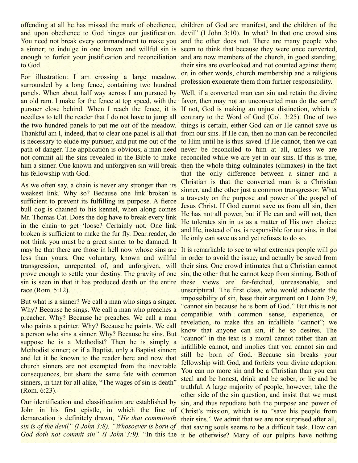offending at all he has missed the mark of obedience, children of God are manifest, and the children of the and upon obedience to God hinges our justification. devil" (I John 3:10). In what? In that one crowd sins You need not break every commandment to make you and the other does not. There are many people who a sinner; to indulge in one known and willful sin is seem to think that because they were once converted, enough to forfeit your justification and reconciliation and are now members of the church, in good standing, to God.

For illustration: I am crossing a large meadow, surrounded by a long fence, containing two hundred panels. When about half way across I am pursued by Well, if a converted man can sin and retain the divine an old ram. I make for the fence at top speed, with the favor, then may not an unconverted man do the same? pursuer close behind. When I reach the fence, it is If not, God is making an unjust distinction, which is needless to tell the reader that I do not have to jump all contrary to the Word of God (Col. 3:25). One of two the two hundred panels to put me out of the meadow. things is certain, either God can or He cannot save us Thankful am I, indeed, that to clear one panel is all that from our sins. If He can, then no man can be reconciled is necessary to elude my pursuer, and put me out of the to Him until he is thus saved. If He cannot, then we can path of danger. The application is obvious; a man need never be reconciled to him at all, unless we are not commit all the sins revealed in the Bible to make reconciled while we are yet in our sins. If this is true, him a sinner. One known and unforgiven sin will break then the whole thing culminates (climaxes) in the fact his fellowship with God.

As we often say, a chain is never any stronger than its weakest link. Why so? Because one link broken is sufficient to prevent its fulfilling its purpose. A fierce bull dog is chained to his kennel, when along comes Mr. Thomas Cat. Does the dog have to break every link in the chain to get 'loose? Certainly not. One link broken is sufficient to make the fur fly. Dear reader, do not think you must be a great sinner to be damned. It may be that there are those in hell now whose sins are It is remarkable to see to what extremes people will go less than yours. One voluntary, known and willful transgression, unrepented of, and unforgiven, will prove enough to settle your destiny. The gravity of one sin is seen in that it has produced death on the entire these views are far-fetched, unreasonable, and race (Rom. 5:12).

But what is a sinner? We call a man who sings a singer. Why? Because he sings. We call a man who preaches a preacher. Why? Because he preaches. We call a man who paints a painter. Why? Because he paints. We call a person who sins a sinner. Why? Because he sins. But suppose he is a Methodist? Then he is simply a Methodist sinner; or if a Baptist, only a Baptist sinner; and let it be known to the reader here and now that church sinners are not exempted from the inevitable consequences, but share the same fate with common sinners, in that for all alike, "The wages of sin is death" (Rom. 6:23).

Our identification and classification are established by John in his first epistle, in which the line of demarcation is definitely drawn, *"He that committeth sin is of the devil" (I John 3:8). "Whosoever is born of God doth not commit sin" (I John 3:9).* "In this the it be otherwise? Many of our pulpits have nothing

their sins are overlooked and not counted against them; or, in other words, church membership and a religious profession exonerate them from further responsibility.

that the only difference between a sinner and a Christian is that the converted man is a Christian sinner, and the other just a common transgressor. What a travesty on the purpose and power of the gospel of Jesus Christ. If God cannot save us from all sin, then He has not all power, but if He can and will not, then He tolerates sin in us as a matter of His own choice; and He, instead of us, is responsible for our sins, in that He only can save us and yet refuses to do so.

in order to avoid the issue, and actually be saved from their sins. One crowd intimates that a Christian cannot sin, the other that he cannot keep from sinning. Both of unscriptural. The first class, who would advocate the impossibility of sin, base their argument on I John 3:9, "cannot sin because he is born of God." But this is not compatible with common sense, experience, or revelation, to make this an infallible "cannot"; we know that anyone can sin, if he so desires. The "cannot" in the text is a moral cannot rather than an infallible cannot, and implies that you cannot sin and still be born of God. Because sin breaks your fellowship with God, and forfeits your divine adoption. You can no more sin and be a Christian than you can steal and be honest, drink and be sober, or lie and be truthful. A large majority of people, however, take the other side of the sin question, and insist that we must sin, and thus repudiate both the purpose and power of Christ's mission, which is to "save his people from their sins." We admit that we are not surprised after all, that saving souls seems to be a difficult task. How can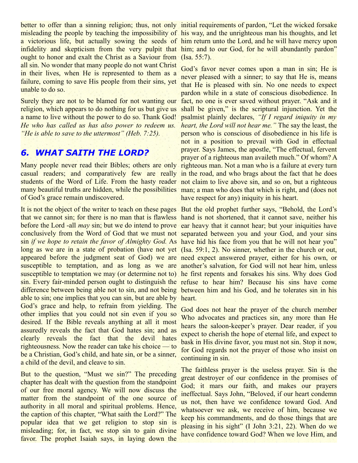misleading the people by teaching the impossibility of his way, and the unrighteous man his thoughts, and let a victorious life, but actually sowing the seeds of him return unto the Lord, and he will have mercy upon infidelity and skepticism from the very pulpit that him; and to our God, for he will abundantly pardon" ought to honor and exalt the Christ as a Saviour from (Isa. 55:7). all sin. No wonder that many people do not want Christ in their lives, when He is represented to them as a failure, coming to save His people from their sins, yet unable to do so.

religion, which appears to do nothing for us but give us a name to live without the power to do so. Thank God! *He who has called us has also power to redeem us. "He is able to save to the uttermost" (Heb. 7:25).*

## *6. WHAT SAITH THE LORD?*

Many people never read their Bibles; others are only righteous man. Not a man who is a failure at every turn casual readers; and comparatively few are really in the road, and who brags about the fact that he does students of the Word of Life. From the hasty reader not claim to live above sin, and so on, but a righteous many beautiful truths are hidden, while the possibilities man; a man who does that which is right, and (does not of God's grace remain undiscovered.

that we cannot sin; for there is no man that is flawless hand is not shortened, that it cannot save, neither his before the Lord -all *may* sin; but we do intend to prove ear heavy that it cannot hear; but your iniquities have conclusively from the Word of God that we must not separated between you and your God, and your sins sin *if we hope to retain the favor of Almighty God.* As have hid his face from you that he will not hear you" long as we are in a state of probation (have not yet (Isa. 59:1, 2). No sinner, whether in the church or out, appeared before the judgment seat of God) we are need expect answered prayer, either for his own, or susceptible to temptation, and as long as we are another's salvation, for God will not hear him, unless susceptible to temptation we may (or determine not to) he first repents and forsakes his sins. Why does God sin. Every fair-minded person ought to distinguish the refuse to hear him? Because his sins have come difference between being able not to sin, and not being between him and his God, and he tolerates sin in his able to sin; one implies that you can sin, but are able by heart. God's grace and help, to refrain from yielding. The other implies that you could not sin even if you so desired. If the Bible reveals anything at all it most assuredly reveals the fact that God hates sin; and as clearly reveals the fact that the devil hates righteousness. Now the reader can take his choice — to be a Christian, God's child, and hate sin, or be a sinner, a child of the devil, and cleave to sin.

But to the question, "Must we sin?" The preceding chapter has dealt with the question from the standpoint of our free moral agency. We will now discuss the matter from the standpoint of the one source of authority in all moral and spiritual problems. Hence, the caption of this chapter, "What saith the Lord?" The popular idea that we get religion to stop sin is misleading; for, in fact, we stop sin to gain divine favor. The prophet Isaiah says, in laying down the

better to offer than a sinning religion; thus, not only initial requirements of pardon, "Let the wicked forsake

Surely they are not to be blamed for not wanting our fact, no one is ever saved without prayer. "Ask and it God's favor never comes upon a man in sin; He is never pleased with a sinner; to say that He is, means that He is pleased with sin. No one needs to expect pardon while in a state of conscious disobedience. In shall be given," is the scriptural injunction. Yet the psalmist plainly declares, *"If I regard iniquity in my heart, the Lord will not hear me."* The say the least, the person who is conscious of disobedience in his life is not in a position to prevail with God in effectual prayer. Says James, the apostle, "The effectual, fervent prayer of a righteous man availeth much." Of whom? A have respect for any) iniquity in his heart.

It is not the object of the writer to teach on these pages But the old prophet further says, "Behold, the Lord's

God does not hear the prayer of the church member Who advocates and practices sin, any more than He hears the saloon-keeper's prayer. Dear reader, if you expect to cherish the hope of eternal life, and expect to bask in His divine favor, you must not sin. Stop it now, for God regards not the prayer of those who insist on continuing in sin.

The faithless prayer is the useless prayer. Sin is the great destroyer of our confidence in the promises of God; it mars our faith, and makes our prayers ineffectual. Says John, "Beloved, if our heart condemn us not, then have we confidence toward God. And whatsoever we ask, we receive of him, because we keep his commandments, and do those things that are pleasing in his sight" (I John 3:21, 22). When do we have confidence toward God? When we love Him, and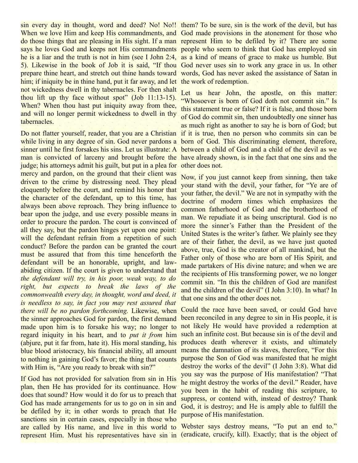When we love Him and keep His commandments, and God made provisions in the atonement for those who do those things that are pleasing in His sight. If a man represent Him to be defiled by it? There are some says he loves God and keeps not His commandments people who seem to think that God has employed sin he is a liar and the truth is not in him (see I John 2:4, as a kind of means of grace to make us humble. But 5). Likewise in the book of Job it is said, "If thou God never uses sin to work any grace in us. In other prepare thine heart, and stretch out thine hands toward words, God has never asked the assistance of Satan in him; if iniquity be in thine hand, put it far away, and let the work of redemption. not wickedness dwell in thy tabernacles. For then shalt thou lift up thy face without spot" (Job 11:13-15). When? When thou hast put iniquity away from thee, and will no longer permit wickedness to dwell in thy tabernacles.

while living in any degree of sin. God never pardons a born of God. This discriminating element, therefore, sinner until he first forsakes his sins. Let us illustrate: A man is convicted of larceny and brought before the have already shown, is in the fact that one sins and the judge; his attorneys admit his guilt, but put in a plea for other does not. mercy and pardon, on the ground that their client was driven to the crime by distressing need. They plead eloquently before the court, and remind his honor that the character of the defendant, up to this time, has always been above reproach. They bring influence to bear upon the judge, and use every possible means in order to procure the pardon. The court is convinced of all they say, but the pardon hinges yet upon one point: will the defendant refrain from a repetition of such conduct? Before the pardon can be granted the court must be assured that from this time henceforth the defendant will be an honorable, upright, and lawabiding citizen. If the court is given to understand that *the defendant will try, in his poor, weak way, to do right, but expects to break the laws of the commonwealth every day, in thought, word and deed, it is needless to say, in fact you may rest assured that there will be no pardon forthcoming.* Likewise, when the sinner approaches God for pardon, the first demand made upon him is to forsake his way; no longer to regard iniquity in his heart, and to *put it from* him (abjure, put it far from, hate it). His moral standing, his blue blood aristocracy, his financial ability, all amount to nothing in gaining God's favor; the thing that counts with Him is, "Are you ready to break with sin?"

If God has not provided for salvation from sin in His plan, then He has provided for its continuance. How does that sound? How would it do for us to preach that God has made arrangements for us to go on in sin and be defiled by it; in other words to preach that He sanctions sin in certain cases, especially in those who are called by His name, and live in this world to represent Him. Must his representatives have sin in (eradicate, crucify, kill). Exactly; that is the object of

sin every day in thought, word and deed? No! No!! them? To be sure, sin is the work of the devil, but has

Do not flatter yourself, reader, that you are a Christian if it is true, then no person who commits sin can be Let us hear John, the apostle, on this matter: "Whosoever is born of God doth not commit sin." Is this statement true or false? If it is false, and those born of God do commit sin, then undoubtedly one sinner has as much right as another to say he is born of God; but between a child of God and a child of the devil as we

> Now, if you just cannot keep from sinning, then take your stand with the devil, your father, for "Ye are of your father, the devil." We are not in sympathy with the doctrine of modern times which emphasizes the common fatherhood of God and the brotherhood of man. We repudiate it as being unscriptural. God is no more the sinner's Father than the President of the United States is the writer's father. We plainly see they are of their father, the devil, as we have just quoted above, true, God is the creator of all mankind, but the Father only of those who are born of His Spirit, and made partakers of His divine nature; and when we are the recipients of His transforming power, we no longer commit sin. "In this the children of God are manifest and the children of the devil" (I John 3:10). In what? In that one sins and the other does not.

Could the race have been saved, or could God have been reconciled in any degree to sin in His people, it is not likely He would have provided a redemption at such an infinite cost. But because sin is of the devil and produces death wherever it exists, and ultimately means the damnation of its slaves, therefore, "For this purpose the Son of God was manifested that he might destroy the works of the devil" (I John 3:8). What did you say was the purpose of His manifestation? "That he might destroy the works of the devil." Reader, have you been in the habit of reading this scripture, to suppress, or contend with, instead of destroy? Thank God, it is destroy; and He is amply able to fulfill the purpose of His manifestation.

Webster says destroy means, "To put an end to."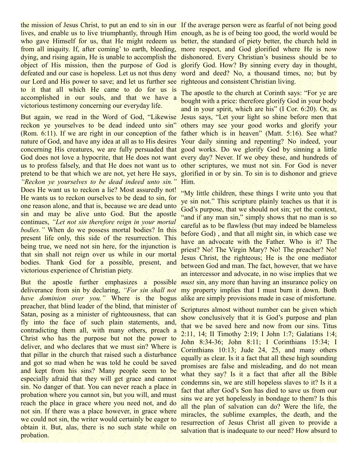the mission of Jesus Christ, to put an end to sin in our If the average person were as fearful of not being good lives, and enable us to live triumphantly, through Him enough, as he is of being too good, the world would be who gave Himself for us, that He might redeem us better, the standard of piety better, the church held in from all iniquity. If, after coming' to earth, bleeding, more respect, and God glorified where He is now dying, and rising again, He is unable to accomplish the dishonored. Every Christian's business should be to object of His mission, then the purpose of God is glorify God. How? By sinning every day in thought, defeated and our case is hopeless. Let us not thus deny word and deed? No, a thousand times, no; but by our Lord and His power to save; and let us further see righteous and consistent Christian living. to it that all which He came to do for us is accomplished in our souls, and that we have a victorious testimony concerning our everyday life.

But again, we read in the Word of God, "Likewise reckon ye yourselves to be dead indeed unto sin" (Rom. 6:11). If we are right in our conception of the father which is in heaven" (Matt. 5:16). See what? nature of God, and have any idea at all as to His desires Your daily sinning and repenting? No indeed, your concerning His creatures, we are fully persuaded that good works. Do we glorify God by sinning a little God does not love a hypocrite, that He does not want every day? Never. If we obey these, and hundreds of us to profess falsely, and that He does not want us to other scriptures, we must not sin. For God is never pretend to be that which we are not, yet here He says, *"Reckon ye yourselves to be dead indeed unto sin."* Does He want us to reckon a lie? Most assuredly not! He wants us to reckon ourselves to be dead to sin, for one reason alone, and that is, because we are dead unto sin and may be alive unto God. But the apostle continues, *"Let not sin therefore reign in your mortal bodies."* When do we possess mortal bodies? In this present life only, this side of the resurrection. This being true, we need not sin here, for the injunction is that sin shall not reign over us while in our mortal bodies. Thank God for a possible, present, and victorious experience of Christian piety.

But the apostle further emphasizes a possible *must* sin, any more than having an insurance policy on deliverance from sin by declaring, *"For sin shall not have dominion over you."* Where is the bogus preacher, that blind leader of the blind, that minister of Satan, posing as a minister of righteousness, that can fly into the face of such plain statements, and, contradicting them all, with many others, preach a Christ who has the purpose but not the power to deliver, and who declares that we must sin? Where is that pillar in the church that raised such a disturbance and got so mad when he was told he could be saved and kept from his sins? Many people seem to be especially afraid that they will get grace and cannot sin. No danger of that. You can never reach a place in probation where you cannot sin, but you will, and must reach the place in grace where you need not, and do not sin. If there was a place however, in grace where we could not sin, the writer would certainly be eager to obtain it. But, alas, there is no such state while on probation.

The apostle to the church at Corinth says: "For ye are bought with a price: therefore glorify God in your body and in your spirit, which are his" (I Cor. 6:20). Or, as Jesus says, "Let your light so shine before men that others may see your good works and glorify your glorified in or by sin. To sin is to dishonor and grieve Him.

"My little children, these things I write unto you that ye sin not." This scripture plainly teaches us that it is God's purpose, that we should not sin; yet the context, "and if any man sin," simply shows that no man is so careful as to be flawless (but may indeed be blameless before God) , and that all might sin, in which case we have an advocate with the Father. Who is it? The priest? No! The Virgin Mary? No! The preacher? No! Jesus Christ, the righteous; He is the one mediator between God and man. The fact, however, that we have an intercessor and advocate, in no wise implies that we my property implies that I must burn it down. Both alike are simply provisions made in case of misfortune.

Scriptures almost without number can be given which show conclusively that it is God's purpose and plan that we be saved here and now from our sins. Titus 2:11, 14; II Timothy 2:19; I John 1:7; Galatians 1:4; John 8:34-36; John 8:11; I Corinthians 15:34; I Corinthians 10:13; Jude 24, 25, and many others equally as clear. Is it a fact that all these high sounding promises are false and misleading, and do not mean what they say? Is it a fact that after all the Bible condemns sin, we are still hopeless slaves to it? Is it a fact that after God's Son has died to save us from our sins we are yet hopelessly in bondage to them? Is this all the plan of salvation can do? Were the life, the miracles, the sublime examples, the death, and the resurrection of Jesus Christ all given to provide a salvation that is inadequate to our need? How absurd to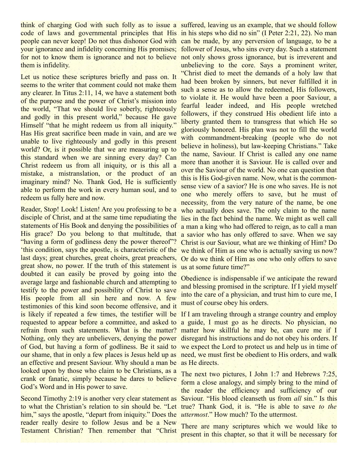think of charging God with such folly as to issue a suffered, leaving us an example, that we should follow code of laws and governmental principles that His in his steps who did no sin" (I Peter 2:21, 22). No man people can never keep! Do not thus dishonor God with can be made, by any perversion of language, to be a your ignorance and infidelity concerning His promises; follower of Jesus, who sins every day. Such a statement for not to know them is ignorance and not to believe not only shows gross ignorance, but is irreverent and them is infidelity.

Let us notice these scriptures briefly and pass on. It seems to the writer that comment could not make them any clearer. In Titus 2:11, 14, we have a statement both of the purpose and the power of Christ's mission into the world, "That we should live soberly, righteously and godly in this present world," because He gave Himself "that he might redeem us from all iniquity." Has His great sacrifice been made in vain, and are we unable to live righteously and godly in this present world? Or, is it possible that we are measuring up to this standard when we are sinning every day? Can Christ redeem us from all iniquity, or is this all a mistake, a mistranslation, or the product of an imaginary mind? No. Thank God, He is sufficiently able to perform the work in every human soul, and to redeem us fully here and now.

Reader, Stop! Look! Listen! Are you professing to be a disciple of Christ, and at the same time repudiating the statements of His Book and denying the possibilities of His grace? Do you belong to that multitude, that "having a form of godliness deny the power thereof"? 'this condition, says the apostle, is characteristic of the last days; great churches, great choirs, great preachers, great show, no power. If the truth of this statement is doubted it can easily be proved by going into the average large and fashionable church and attempting to testify to the power and possibility of Christ to save His people from all sin here and now. A few testimonies of this kind soon become offensive, and it is likely if repeated a few times, the testifier will be If I am traveling through a strange country and employ requested to appear before a committee, and asked to a guide, I must go as he directs. No physician, no refrain from such statements. What is the matter? matter how skillful he may be, can cure me if I Nothing, only they are unbelievers, denying the power disregard his instructions and do not obey his orders. If of God, but having a form of godliness. Be it said to we expect the Lord to protect us and help us in time of our shame, that in only a few places is Jesus held up as need, we must first be obedient to His orders, and walk an effective and present Saviour. Why should a man be looked upon by those who claim to be Christians, as a crank or fanatic, simply because he dares to believe God's Word and in His power to save.

to what the Christian's relation to sin should be. "Let true? Thank God, it is. "He is able to save *to the* him," says the apostle, "depart from iniquity." Does the *uttermost*." How much? To the uttermost. reader really desire to follow Jesus and be a New Testament Christian? Then remember that "Christ

unbelieving to the core. Says a prominent writer, "Christ died to meet the demands of a holy law that had been broken by sinners, but never fulfilled it in such a sense as to allow the redeemed, His followers, to violate it. He would have been a poor Saviour, a fearful leader indeed, and His people wretched followers, if they construed His obedient life into a liberty granted them to transgress that which He so gloriously honored. His plan was not to fill the world with commandment-breaking (people who do not believe in holiness), but law-keeping Christians." Take the name, Saviour. If Christ is called any one name more than another it is Saviour. He is called over and over the Saviour of the world. No one can question that this is His God-given name. Now, what is the commonsense view of a savior? He is one who saves. He is not one who merely offers to save, but he must of necessity, from the very nature of the name, be one who actually does save. The only claim to the name lies in the fact behind the name. We might as well call a man a king who had offered to reign, as to call a man a savior who has only offered to save. When we say Christ is our Saviour, what are we thinking of Him? Do we think of Him as one who is actually saving us now? Or do we think of Him as one who only offers to save us at some future time?"

Obedience is indispensable if we anticipate the reward and blessing promised in the scripture. If I yield myself into the care of a physician, and trust him to cure me, I must of course obey his orders.

as He directs.

Second Timothy 2:19 is another very clear statement as Saviour. "His blood cleanseth us from *all* sin." Is this The next two pictures, I John 1:7 and Hebrews 7:25, form a close analogy, and simply bring to the mind of the reader the efficiency and sufficiency of our

> There are many scriptures which we would like to present in this chapter, so that it will be necessary for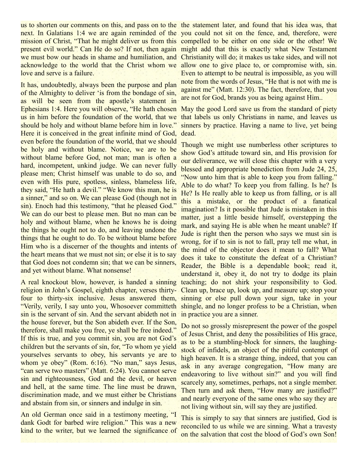us to shorten our comments on this, and pass on to the the statement later, and found that his idea was, that next. In Galatians 1:4 we are again reminded of the you could not sit on the fence, and, therefore, were mission of Christ, "That he might deliver us from this compelled to be either on one side or the other! We present evil world." Can He do so? If not, then again might add that this is exactly what New Testament we must bow our heads in shame and humiliation, and Christianity will do; it makes us take sides, and will not acknowledge to the world that the Christ whom we allow one to give place to, or compromise with, sin. love and serve is a failure.

It has, undoubtedly, always been the purpose and plan of the Almighty to deliver 'is from the bondage of sin, as will be seen from the apostle's statement in Ephesians 1:4. Here you will observe, "He hath chosen May the good Lord save us from the standard of piety us in him before the foundation of the world, that we should be holy and without blame before him in love." Here it is conceived in the great infinite mind of God, dead. even before the foundation of the world, that we should be holy and without blame. Notice, we are to be without blame before God, not man; man is often a hard, incompetent, unkind judge. We can never fully please men; Christ himself was unable to do so, and even with His pure, spotless, sinless, blameless life, they said, "He hath a devil." "We know this man, he is a sinner," and so on. We can please God (though not in sin). Enoch had this testimony, "that he pleased God." We can do our best to please men. But no man can be holy and without blame, when he knows he is doing the things he ought not to do, and leaving undone the things that he ought to do. To be without blame before Him who is a discerner of the thoughts and intents of the heart means that we must not sin; or else it is to say that God does not condemn sin; that we can be sinners, and yet without blame. What nonsense!

A real knockout blow, however, is handed a sinning religion in John's Gospel, eighth chapter, verses thirtyfour to thirty-six inclusive. Jesus answered them, "Verily, verily, I say unto you, Whosoever committeth sin is the servant of sin. And the servant abideth not in the house forever, but the Son abideth ever. If the Son, therefore, shall make you free, ye shall be free indeed." If this is true, and you commit sin, you are not God's children but the servants of sin, for, "To whom ye yield yourselves servants to obey, his servants ye are to whom ye obey" (Rom. 6:16). "No man," says Jesus, "can serve two masters" (Matt. 6:24). You cannot serve sin and righteousness, God and the devil, or heaven and hell, at the same time. The line must be drawn, discrimination made, and we must either be Christians and abstain from sin, or sinners and indulge in sin.

An old German once said in a testimony meeting, "I dank Godt for barbed wire religion." This was a new kind to the writer, but we learned the significance of

Even to attempt to be neutral is impossible, as you will note from the words of Jesus, "He that is not with me is against me" (Matt. 12:30). The fact, therefore, that you are not for God, brands you as being against Him..

that labels us only Christians in name, and leaves us sinners by practice. Having a name to live, yet being

Though we might use numberless other scriptures to show God's attitude toward sin, and His provision for our deliverance, we will close this chapter with a very blessed and appropriate benediction from Jude 24, 25, "Now unto him that is able to keep you from falling." Able to do what? To keep you from falling. Is he? Is He? Is He really able to keep us from falling, or is all this a mistake, or the product of a fanatical imagination? Is it possible that Jude is mistaken in this matter, just a little beside himself, overstepping the mark, and saying He is able when he meant unable? If Jude is right then the person who says we must sin is wrong, for if to sin is not to fall, pray tell me what, in the mind of the objector does it mean to fall? What does it take to constitute the defeat of a Christian? Reader, the Bible is a dependable book; read it, understand it, obey it, do not try to dodge its plain teaching; do not shirk your responsibility to God. Clean up, brace up, look up, and measure up; stop your sinning or else pull down your sign, take in your shingle, and no longer profess to be a Christian, when in practice you are a sinner.

Do not so grossly misrepresent the power of the gospel of Jesus Christ, and deny the possibilities of His grace, as to be a stumbling-block for sinners, the laughingstock of infidels, an object of the pitiful contempt of high heaven. It is a strange thing, indeed, that you can ask in any average congregation, "How many are endeavoring to live without sin?" and you will find scarcely any, sometimes, perhaps, not a single member. Then turn and ask them, "How many are justified?" and nearly everyone of the same ones who say they are not living without sin, will say they are justified.

This is simply to say that sinners are justified, God is reconciled to us while we are sinning. What a travesty on the salvation that cost the blood of God's own Son!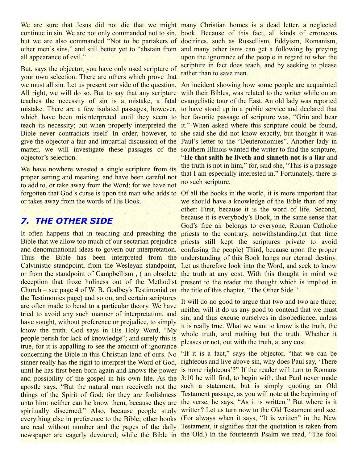We are sure that Jesus did not die that we might many Christian homes is a dead letter, a neglected continue in sin. We are not only commanded not to sin, book. Because of this fact, all kinds of erroneous but we are also commanded "Not to be partakers of doctrines, such as Russellism, Eddyism, Romanism, other men's sins," and still better yet to "abstain from and many other isms can get a following by preying all appearance of evil."

But, says the objector, you have only used scripture of your own selection. There are others which prove that we must all sin. Let us present our side of the question. An incident showing how some people are acquainted All right, we will do so. But to say that any scripture with their Bibles, was related to the writer while on an teaches the necessity of sin is a mistake, a fatal evangelistic tour of the East. An old lady was reported mistake. There are a few isolated passages, however, to have stood up in a public service and declared that which have been misinterpreted until they seem to her favorite passage of scripture was, "Grin and bear teach its necessity; but when properly interpreted the it." When asked where this scripture could be found, Bible never contradicts itself. In order, however, to she said she did not know exactly, but thought it was give the objector a fair and impartial discussion of the Paul's letter to the "Deuteronomies". Another lady in matter, we will investigate these passages of the southern Illinois wanted the writer to find the scripture, objector's selection.

We have nowhere wrested a single scripture from its proper setting and meaning, and have been careful not to add to, or take away from the Word; for we have not forgotten that God's curse is upon the man who adds to or takes away from the words of His Book.

# *7. THE OTHER SIDE*

It often happens that in teaching and preaching the Bible that we allow too much of our sectarian prejudice priests still kept the scriptures private to avoid and denominational ideas to govern our interpretation. confusing the people) Third, because upon the proper Thus the Bible has been interpreted from the understanding of this Book hangs our eternal destiny. Calvinistic standpoint, from the Wesleyan standpoint, Let us therefore look into the Word, and seek to know or from the standpoint of Campbellism, (an obsolete the truth at any cost. With this thought in mind we deception that froze holiness out of the Methodist present to the reader the thought which is implied in Church – see page 4 of W. B. Godbey's Testimonial on the title of this chapter, "The Other Side." the Testimonies page) and so on, and certain scriptures are often made to bend to a particular theory. We have tried to avoid any such manner of interpretation, and have sought, without preference or prejudice, to simply know the truth. God says in His Holy Word, "My people perish for lack of knowledge"; and surely this is true, for it is appalling to see the amount of ignorance concerning the Bible in this Christian land of ours. No sinner really has the right to interpret the Word of God, until he has first been born again and knows the power is none righteous'?" If the reader will turn to Romans and possibility of the gospel in his own life. As the 3:10 he will find, to begin with, that Paul never made apostle says, "But the natural man receiveth not the such a statement, but is simply quoting an Old things of the Spirit of God: for they are foolishness Testament passage, as you will note at the beginning of unto him: neither can he know them, because they are the verse, he says, "As it is written." But where is it spiritually discerned." Also, because people study written? Let us turn now to the Old Testament and see. everything else in preference to the Bible; other books (For always when it says, "It is written" in the New are read without number and the pages of the daily Testament, it signifies that the quotation is taken from newspaper are eagerly devoured; while the Bible in the Old.) In the fourteenth Psalm we read, "The fool

upon the ignorance of the people in regard to what the scripture in fact does teach, and by seeking to please rather than to save men.

"**He that saith he liveth and sinneth not is a liar** and the truth is not in him," for, said she, "This is a passage that I am especially interested in." Fortunately, there is no such scripture.

Of all the books in the world, it is more important that we should have a knowledge of the Bible than of any other: First, because it is the word of life. Second, because it is everybody's Book, in the same sense that God's free air belongs to everyone, Roman Catholic priests to the contrary, notwithstanding.(at that time

It will do no good to argue that two and two are three; neither will it do us any good to contend that we must sin, and thus excuse ourselves in disobedience, unless it is really true. What we want to know is the truth, the whole truth, and nothing but the truth. Whether it pleases or not, out with the truth, at any cost.

"If it is a fact," says the objector, "that we can be righteous and live above sin, why does Paul say, 'There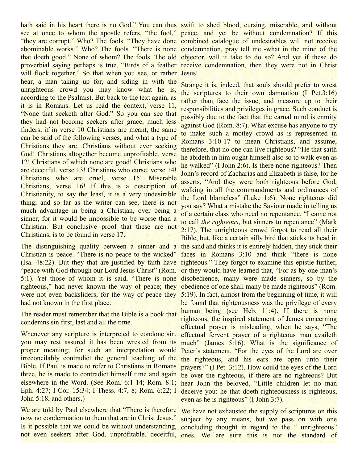hath said in his heart there is no God." You can thus swift to shed blood, cursing, miserable, and without see at once to whom the apostle refers, "the fool," peace, and yet be without condemnation? If this "they are corrupt." Who? The fools. "They have done combined catalogue of undesirables will not receive abominable works." Who? The fools. "There is none condemnation, pray tell me -what in the mind of the that doeth good." None of whom? The fools. The old objector, will it take to do so? And yet if these do proverbial saying perhaps is true, "Birds of a feather receive condemnation, then they were not in Christ will flock together." So that when you see, or rather Jesus! hear, a man taking up for, and siding in with the unrighteous crowd you may know what he is, according to the Psalmist. But back to the text again, as it is in Romans. Let us read the context, verse 11, "None that seeketh after God." So you can see that they had not become seekers after grace, much less finders; if in verse 10 Christians are meant, the same can be said of the following verses, and what a type of Christians they are. Christians without ever seeking God! Christians altogether become unprofitable, verse 12! Christians of which none are good! Christians who are deceitful, verse 13! Christians who curse, verse 14! Christians who are cruel, verse 15! Miserable Christians, verse 16! If this is a description of Christianity, to say the least, it is a very undesirable thing; and so far as the writer can see, there is not much advantage in being a Christian, over being a sinner, for it would be impossible to be worse than a Christian. But conclusive proof that these are not Christians, is to be found in verse 17.

Christian is peace. "There is no peace to the wicked" (Isa. 48:22). But they that are justified by faith have righteous." They forgot to examine this epistle further, "peace with God through our Lord Jesus Christ" (Rom. or they would have learned that, "For as by one man's 5:1). Yet those of whom it is said, "There is none disobedience, many were made sinners, so by the righteous," had never known the way of peace; they were not even backsliders, for the way of peace they had not known in the first place.

The reader must remember that the Bible is a book that condemns sin first, last and all the time.

Whenever any scripture is interpreted to condone sin, you may rest assured it has been wrested from its proper meaning; for such an interpretation would Peter's statement, "For the eyes of the Lord are over irreconcilably contradict the general teaching of the Bible. If Paul is made to refer to Christians in Romans three, he is made to contradict himself time and again be over the righteous, if there are no righteous? But elsewhere in the Word. (See Rom. 6:1-14; Rom. 8:1; Eph. 4:27; I Cor. 15:34; I Thess. 4:7, 8; Rom. 6:22; I deceive you: he that doeth righteousness is righteous, John 5:18, and others.)

We are told by Paul elsewhere that "There is therefore We have not exhausted the supply of scriptures on this now no condemnation to them that are in Christ Jesus." Is it possible that we could be without understanding, concluding thought in regard to the "unrighteous"

The distinguishing quality between a sinner and a the sand and thinks it is entirely hidden, they stick their Strange it is, indeed, that souls should prefer to wrest the scriptures to their own damnation (I Pet.3:16) rather than face the issue, and measure up to their responsibilities and privileges in grace. Such conduct is possibly due to the fact that the carnal mind is enmity against God (Rom. 8:7). What excuse has anyone to try to make such a motley crowd as is represented in Romans 3:10-17 to mean Christians, and assume, therefore, that no one can live righteous? "He that saith he abideth in him ought himself also so to walk even as he walked" (I John 2:6). Is there none righteous? Then John's record of Zacharias and Elizabeth is false, for he asserts, "And they were both righteous before God, walking in all the commandments and ordinances of the Lord blameless" (Luke 1:6). None righteous did you say? What a mistake the Saviour made in telling us of a certain class who need no repentance. "I came not to call *the righteous*, but sinners to repentance" (Mark 2:17). The unrighteous crowd forgot to read all their Bible, but, like a certain silly bird that sticks its head in faces in Romans 3:10 and think "there is none obedience of one shall many be made righteous" (Rom. 5:19). In fact, almost from the beginning of time, it will be found that righteousness was the privilege of every human being (see Heb. 11:4). If there is none righteous, the inspired statement of James concerning effectual prayer is misleading, when he says, "The effectual fervent prayer of a righteous man availeth much" (James 5:16). What is the significance of the righteous, and his ears are open unto their prayers?" (I Pet. 3:12). How could the eyes of the Lord hear John the beloved, "Little children let no man even as he is righteous" (I John 3:7).

not even seekers after God, unprofitable, deceitful, ones. We are sure this is not the standard ofsubject by any means, but we pass on with one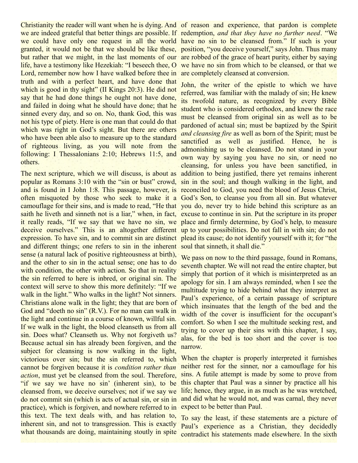Christianity the reader will want when he is dying. And of reason and experience, that pardon is complete we are indeed grateful that better things are possible. If redemption, *and that they have no further need*. "We we could have only one request in all the world have no sin to be cleansed from." If such is your granted, it would not be that we should be like these, position, "you deceive yourself," says John. Thus many but rather that we might, in the last moments of our are robbed of the grace of heart purity, either by saying life, have a testimony like Hezekiah: "I beseech thee, O we have no sin from which to be cleansed, or that we Lord, remember now how I have walked before thee in truth and with a perfect heart, and have done that which is good in thy sight" (II Kings 20:3). He did not say that he had done things he ought not have done, and failed in doing what he should have done; that he sinned every day, and so on. No, thank God, this was not his type of piety. Here is one man that could do that which was right in God's sight. But there are others who have been able also to measure up to the standard of righteous living, as you will note from the following: I Thessalonians 2:10; Hebrews 11:5, and others.

The next scripture, which we will discuss, is about as popular as Romans 3:10 with the "sin or bust" crowd, sin in the soul; and though walking in the light, and and is found in I John 1:8. This passage, however, is reconciled to God, you need the blood of Jesus Christ, often misquoted by those who seek to make it a God's Son, to cleanse you from all sin. But whatever camouflage for their sins, and is made to read, "He that you do, never try to hide behind this scripture as an saith he liveth and sinneth not is a liar," when, in fact, excuse to continue in sin. Put the scripture in its proper it really reads, "If we say that we have no sin, we place and firmly determine, by God's help, to measure deceive ourselves." This is an altogether different up to your possibilities. Do not fall in with sin; do not expression. To have sin, and to commit sin are distinct plead its cause; do not identify yourself with it; for "the and different things; one refers to sin in the inherent soul that sinneth, it shall die." sense (a natural lack of positive righteousness at birth), and the other to sin in the actual sense; one has to do with condition, the other with action. So that in reality the sin referred to here is inbred, or original sin. The context will serve to show this more definitely: "If we walk in the light." Who walks in the light? Not sinners. Christians alone walk in the light; they that are born of God and "doeth no sin" (R.V.). For no man can walk in the light and continue in a course of known, willful sin. If we walk in the light, the blood cleanseth us from all sin. Does what? Cleanseth us. Why not forgiveth us? Because actual sin has already been forgiven, and the subject for cleansing is now walking in the light, victorious over sin; but the sin referred to, which cannot be forgiven because it is *condition rather than action*, must yet be cleansed from the soul. Therefore, "if we say we have no sin' (inherent sin), to be cleansed from, we deceive ourselves; not if we say we do not commit sin (which is acts of actual sin, or sin in practice), which is forgiven, and nowhere referred to in this text. The text deals with, and has relation to, inherent sin, and not to transgression. This is exactly what thousands are doing, maintaining stoutly in spite

are completely cleansed at conversion.

John, the writer of the epistle to which we have referred, was familiar with the malady of sin; He knew its twofold nature, as recognized by every Bible student who is considered orthodox, and knew the race must be cleansed from original sin as well as to be pardoned of actual sin; must be baptized by the Spirit *and cleansing fire* as well as born of the Spirit; must be sanctified as well as justified. Hence, he is admonishing us to be cleansed. Do not stand in your own way by saying you have no sin, or need no cleansing, for unless you have been sanctified, in addition to being justified, there yet remains inherent

We pass on now to the third passage, found in Romans, seventh chapter. We will not read the entire chapter, but simply that portion of it which is misinterpreted as an apology for sin. I am always reminded, when I see the multitude trying to hide behind what they interpret as Paul's experience, of a certain passage of scripture which insinuates that the length of the bed and the width of the cover is insufficient for the occupant's comfort. So when I see the multitude seeking rest, and trying to cover up their sins with this chapter, I say, alas, for the bed is too short and the cover is too narrow.

When the chapter is properly interpreted it furnishes neither rest for the sinner, nor a camouflage for his sins. A futile attempt is made by some to prove from this chapter that Paul was a sinner by practice all his life; hence, they argue, in as much as he was wretched, and did what he would not, and was carnal, they never expect to be better than Paul.

To say the least, if these statements are a picture of Paul's experience as a Christian, they decidedly contradict his statements made elsewhere. In the sixth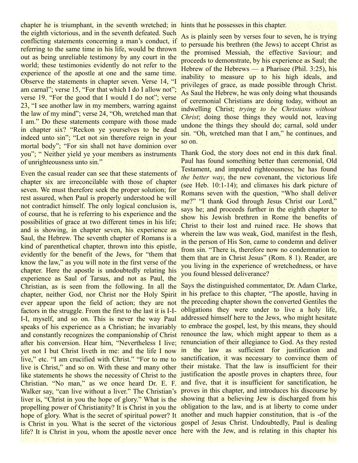chapter he is triumphant, in the seventh wretched; in hints that he possesses in this chapter. the eighth victorious, and in the seventh defeated. Such conflicting statements concerning a man's conduct, if referring to the same time in his life, would be thrown out as being unreliable testimony by any court in the world; these testimonies evidently do not refer to the experience of the apostle at one and the same time. Observe the statements in chapter seven. Verse 14, "I am carnal"; verse 15, "For that which I do I allow not"; verse 19. "For the good that I would I do not"; verse 23, "I see another law in my members, warring against the law of my mind"; verse 24, "Oh, wretched man that I am." Do these statements compare with those made in chapter six? "Reckon ye yourselves to be dead indeed unto sin"; "Let not sin therefore reign in your mortal body"; "For sin shall not have dominion over you"; " Neither yield ye your members as instruments of unrighteousness unto sin."

Even the casual reader can see that these statements of chapter six are irreconcilable with those of chapter seven. We must therefore seek the proper solution; for rest assured, when Paul is properly understood he will not contradict himself. The only logical conclusion is, of course, that he is referring to his experience and the possibilities of grace at two different times in his life; and is showing, in chapter seven, his experience as Saul, the Hebrew. The seventh chapter of Romans is a kind of parenthetical chapter, thrown into this epistle, evidently for the benefit of the Jews, for "them that know the law," as you will note in the first verse of the chapter. Here the apostle is undoubtedly relating his experience as Saul of Tarsus, and not as Paul, the Christian, as is seen from the following. In all the chapter, neither God, nor Christ nor the Holy Spirit ever appear upon the field of action; they are not factors in the struggle. From the first to the last it is I-I-I-I, myself, and so on. This is never the way Paul speaks of his experience as a Christian; he invariably and constantly recognizes the companionship of Christ renounce the law, which might appear to them as a after his conversion. Hear him, "Nevertheless I live; renunciation of their allegiance to God. As they rested yet not I but Christ liveth in me: and the life I now in the law as sufficient for justification and live," etc. "I am crucified with Christ." "For to me to live is Christ," and so on. With these and many other like statements he shows the necessity of Christ to the justification the apostle proves in chapters three, four Christian. "No man," as we once heard Dr. E. F. Walker say, "can live without a liver." The Christian's proves in this chapter, and introduces his discourse by liver is, "Christ in you the hope of glory." What is the showing that a believing Jew is discharged from his propelling power of Christianity? It is Christ in you the hope of glory. What is the secret of spiritual power? It is Christ in you. What is the secret of the victorious gospel of Jesus Christ. Undoubtedly, Paul is dealing life? It is Christ in you, whom the apostle never once here with the Jew, and is relating in this chapter his

As is plainly seen by verses four to seven, he is trying to persuade his brethren (the Jews) to accept Christ as the promised Messiah, the effective Saviour; and proceeds to demonstrate, by his experience as Saul; the Hebrew of the Hebrews — a Pharisee (Phil. 3:25), his inability to measure up to his high ideals, and privileges of grace, as made possible through Christ. As Saul the Hebrew, he was only doing what thousands of ceremonial Christians are doing today, without an indwelling Christ; *trying to be Christians without Christ*; doing those things they would not, leaving undone the things they should do; carnal, sold under sin. "Oh, wretched man that I am," he continues, and so on.

Thank God, the story does not end in this dark final. Paul has found something better than ceremonial, Old Testament, and imputed righteousness; he has found *the better way*, the new covenant, the victorious life (see Heb. 10:1-14); and climaxes his dark picture of Romans seven with the question, "Who shall deliver me?" "I thank God through Jesus Christ our Lord," says he; and proceeds further in the eighth chapter to show his Jewish brethren in Rome the benefits of Christ to their lost and ruined race. He shows that wherein the law was weak, God, manifest in the flesh, in the person of His Son, came to condemn and deliver from sin. "There is, therefore now no condemnation to them that are in Christ Jesus" (Rom. 8 1). Reader, are you living in the experience of wretchedness, or have you found blessed deliverance?

Says the distinguished commentator, Dr. Adam Clarke, in his preface to this chapter, "The apostle, having in the preceding chapter shown the converted Gentiles the obligations they were under to live a holy life, addressed himself here to the Jews, who might hesitate to embrace the gospel, lest, by this means, they should sanctification, it was necessary to convince them of their mistake. That the law is insufficient for their and five, that it is insufficient for sanctification, he obligation to the law, and is at liberty to come under another and much happier constitution, that is -of the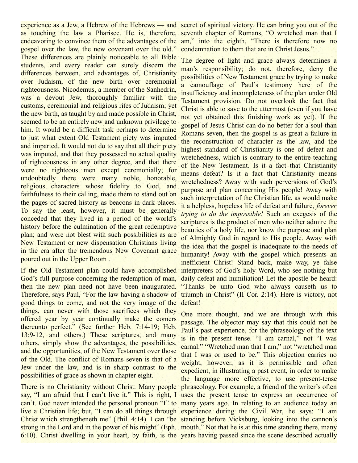experience as a Jew, a Hebrew of the Hebrews — and secret of spiritual victory. He can bring you out of the as touching the law a Pharisee. He is, therefore, seventh chapter of Romans, "O wretched man that I endeavoring to convince them of the advantages of the am," into the eighth, "There is therefore now no gospel over the law, the new covenant over the old." These differences are plainly noticeable to all Bible students, and every reader can surely discern the differences between, and advantages of, Christianity over Judaism, of the new birth over ceremonial righteousness. Nicodemus, a member of the Sanhedrin, was a devout Jew, thoroughly familiar with the customs, ceremonial and religious rites of Judaism; yet the new birth, as taught by and made possible in Christ, seemed to be an entirely new and unknown privilege to him. It would be a difficult task perhaps to determine to just what extent Old Testament piety was imputed and imparted. It would not do to say that all their piety was imputed, and that they possessed no actual quality of righteousness in any other degree, and that there were no righteous men except ceremonially; for undoubtedly there were many noble, honorable, religious characters whose fidelity to God, and faithfulness to their calling, made them to stand out on the pages of sacred history as beacons in dark places. To say the least, however, it must be generally conceded that they lived in a period of the world's history before the culmination of the great redemptive plan; and were not blest with such possibilities as are New Testament or new dispensation Christians living in the era after the tremendous New Covenant grace poured out in the Upper Room .

If the Old Testament plan could have accomplished God's full purpose concerning the redemption of man, then the new plan need not have been inaugurated. Therefore, says Paul, "For the law having a shadow of triumph in Christ" (II Cor. 2:14). Here is victory, not good things to come, and not the very image of the defeat! things, can never with those sacrifices which they offered year by year continually make the comers thereunto perfect." (See further Heb. 7:14-19; Heb. 13:9-12, and others.) These scriptures, and many others, simply show the advantages, the possibilities, and the opportunities, of the New Testament over those of the Old. The conflict of Romans seven is that of a Jew under the law, and is in sharp contrast to the possibilities of grace as shown in chapter eight.

say, "I am afraid that I can't live it." This is right, I uses the present tense to express an occurrence of can't. God never intended the personal pronoun "I" to many years ago. In relating to an audience today an live a Christian life; but, "I can do all things through experience during the Civil War, he says: "I am Christ which strengtheneth me" (Phil. 4:14). I can "be standing before Vicksburg, looking into the cannon's strong in the Lord and in the power of his might" (Eph. mouth." Not that he is at this time standing there, many 6:10). Christ dwelling in your heart, by faith, is the years having passed since the scene described actually

condemnation to them that are in Christ Jesus."

The degree of light and grace always determines a man's responsibility; do not, therefore, deny the possibilities of New Testament grace by trying to make a camouflage of Paul's testimony here of the insufficiency and incompleteness of the plan under Old Testament provision. Do not overlook the fact that Christ is able to save to the uttermost (even if you have not yet obtained this finishing work as yet). If the gospel of Jesus Christ can do no better for a soul than Romans seven, then the gospel is as great a failure in the reconstruction of character as the law, and the highest standard of Christianity is one of defeat and wretchedness, which is contrary to the entire teaching of the New Testament. Is it a fact that Christianity means defeat? Is it a fact that Christianity means wretchedness? Away with such perversions of God's purpose and plan concerning His people! Away with such interpretation of the Christian life, as would make it a helpless, hopeless life of defeat and failure, *forever trying to do the impossible!* Such an exegesis of the scriptures is the product of men who neither admire the beauties of a holy life, nor know the purpose and plan of Almighty God in regard to His people. Away with the idea that the gospel is inadequate to the needs of humanity! Away with the gospel which presents an inefficient Christ! Stand back, make way, ye false interpreters of God's holy Word, who see nothing but daily defeat and humiliation! Let the apostle be heard: "Thanks be unto God who always causeth us to

There is no Christianity without Christ. Many people phraseology. For example, a friend of the writer's often One more thought, and we are through with this passage. The objector may say that this could not be Paul's past experience, for the phraseology of the text is in the present tense. "I am carnal," not "I was carnal." "Wretched man that I am," not "wretched man that I was or used to be." This objection carries no weight, however, as it is permissible and often expedient, in illustrating a past event, in order to make the language more effective, to use present-tense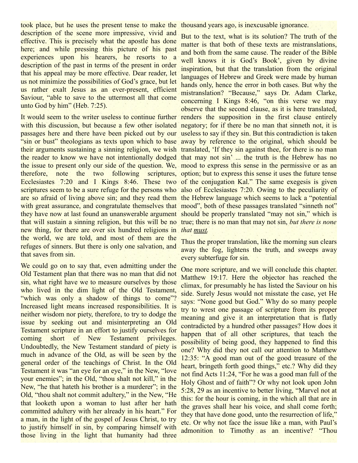took place, but he uses the present tense to make the thousand years ago, is inexcusable ignorance. description of the scene more impressive, vivid and effective. This is precisely what the apostle has done here; and while pressing this picture of his past experiences upon his hearers, he resorts to a description of the past in terms of the present in order that his appeal may be more effective. Dear reader, let us not minimize the possibilities of God's grace, but let us rather exalt Jesus as an ever-present, efficient Saviour, "able to save to the uttermost all that come unto God by him" (Heb. 7:25).

It would seem to the writer useless to continue further renders the supposition in the first clause entirely with this discussion, but because a few other isolated negatory; for if there be no man that sinneth not, it is passages here and there have been picked out by our useless to say if they sin. But this contradiction is taken "sin or bust" theologians as texts upon which to base away by reference to the original, which should be their arguments sustaining a sinning religion, we wish translated, 'If they sin against thee, for there is no man the reader to know we have not intentionally dodged that may not sin' ... the truth is the Hebrew has no the issue to present only our side of the question. We, mood to express this sense in the permissive or as an therefore, note the two following Ecclesiastes 7:20 and I Kings 8:46. These two of the conjugation Kal." The same exegesis is given scriptures seem to be a sure refuge for the persons who also of Ecclesiastes 7:20. Owing to the peculiarity of are so afraid of living above sin; and they read them the Hebrew language which seems to lack a "potential with great assurance, and congratulate themselves that mood", both of these passages translated "sinneth not" they have now at last found an unanswerable argument should be properly translated "may not sin," which is that will sustain a sinning religion, but this will be no true; there is no man that may not sin, *but there is none* new thing, for there are over six hundred religions in *that must.* the world, we are told, and most of them are the refuges of sinners. But there is only one salvation, and that saves from sin.

We could go on to say that, even admitting under the Old Testament plan that there was no man that did not sin, what right have we to measure ourselves by those who lived in the dim light of the Old Testament, "which was only a shadow of things to come"? Increased light means increased responsibilities. It is neither wisdom nor piety, therefore, to try to dodge the issue by seeking out and misinterpreting an Old Testament scripture in an effort to justify ourselves for coming short of New Testament privileges. Undoubtedly, the New Testament standard of piety is much in advance of the Old, as will be seen by the general order of the teachings of Christ. In the Old Testament it was "an eye for an eye," in the New, "love your enemies"; in the Old, "thou shalt not kill," in the New, "he that hateth his brother is a murderer"; in the Old, "thou shalt not commit adultery," in the New, "He that looketh upon a woman to lust after her hath committed adultery with her already in his heart." For a man, in the light of the gospel of Jesus Christ, to try to justify himself in sin, by comparing himself with those living in the light that humanity had three

But to the text, what is its solution? The truth of the matter is that both of these texts are mistranslations, and both from the same cause. The reader of the Bible well knows it is God's Book', given by divine inspiration, but that the translation from the original languages of Hebrew and Greek were made by human hands only, hence the error in both cases. But why the mistranslation? "Because," says Dr. Adam Clarke, concerning I Kings 8:46, "on this verse we may observe that the second clause, as it is here translated, scriptures, option; but to express this sense it uses the future tense

> Thus the proper translation, like the morning sun clears away the fog, lightens the truth, and sweeps away every subterfuge for sin.

> One more scripture, and we will conclude this chapter. Matthew 19:17. Here the objector has reached the climax, for presumably he has listed the Saviour on his side. Surely Jesus would not misstate the case, yet He says: "None good but God." Why do so many people try to wrest one passage of scripture from its proper meaning and give it an interpretation that is flatly contradicted by a hundred other passages? How does it happen that of all other scriptures, that teach the possibility of being good, they happened to find this one? Why did they not call our attention to Matthew 12:35: "A good man out of the good treasure of the heart, bringeth forth good things," etc.? Why did they not find Acts 11:24, "For he was a good man full of the Holy Ghost and of faith"? Or why not look upon John 5:28, 29 as an incentive to better living, "Marvel not at this: for the hour is coming, in the which all that are in the graves shall hear his voice, and shall come forth; they that have done good, unto the resurrection of life," etc. Or why not face the issue like a man, with Paul's admonition to Timothy as an incentive? "Thou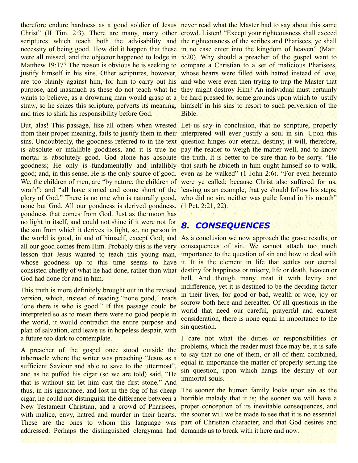therefore endure hardness as a good soldier of Jesus never read what the Master had to say about this same Christ" (II Tim. 2:3). There are many, many other crowd. Listen! "Except your righteousness shall exceed scriptures which teach both the advisability and the righteousness of the scribes and Pharisees, ye shall necessity of being good. How did it happen that these in no case enter into the kingdom of heaven" (Matt. were all missed, and the objector happened to lodge in 5:20). Why should a preacher of the gospel want to Matthew 19:17? The reason is obvious he is seeking to compare a Christian to a set of malicious Pharisees, justify himself in his sins. Other scriptures, however, whose hearts were filled with hatred instead of love, are too plainly against him, for him to carry out his and who were even then trying to trap the Master that purpose, and inasmuch as these do not teach what he they might destroy Him? An individual must certainly wants to believe, as a drowning man would grasp at a be hard pressed for some grounds upon which to justify straw, so he seizes this scripture, perverts its meaning, himself in his sins to resort to such perversion of the and tries to shirk his responsibility before God.

But, alas! This passage, like all others when wrested Let us say in conclusion, that no scripture, properly from their proper meaning, fails to justify them in their interpreted will ever justify a soul in sin. Upon this sins. Undoubtedly, the goodness referred to in the text question hinges our eternal destiny; it will, therefore, is absolute or infallible goodness, and it is true no pay the reader to weigh the matter well, and to know mortal is absolutely good. God alone has absolute the truth. It is better to be sure than to be sorry. "He goodness; He only is fundamentally and infallibly that saith he abideth in him ought himself so to walk, good; and, in this sense, He is the only source of good. even as he walked" (1 John 2:6). "For even hereunto We, the children of men, are "by nature, the children of were ye called; because Christ also suffered for us, wrath"; and "all have sinned and come short of the leaving us an example, that ye should follow his steps; glory of God." There is no one who is naturally good, who did no sin, neither was guile found in his mouth" none but God. All our goodness is derived goodness, (1 Pet. 2:21, 22). goodness that comes from God. Just as the moon has no light in itself, and could not shine if it were not for the sun from which it derives its light, so, no person in the world is good, in and of himself, except God; and As a conclusion we now approach the grave results, or all our good comes from Him. Probably this is the very consequences of sin. We cannot attach too much lesson that Jesus wanted to teach this young man, importance to the question of sin and how to deal with whose goodness up to this time seems to have it. It is the element in life that settles our eternal consisted chiefly of what he had done, rather than what destiny for happiness or misery, life or death, heaven or God had done for and in him.

This truth is more definitely brought out in the revised version, which, instead of reading "none good," reads "one there is who is good." If this passage could be interpreted so as to mean there were no good people in the world, it would contradict the entire purpose and plan of salvation, and leave us in hopeless despair, with a future too dark to contemplate.

A preacher of the gospel once stood outside the tabernacle where the writer was preaching "Jesus as a sufficient Saviour and able to save to the uttermost", and as he puffed his cigar (so we are told) said, "He that is without sin let him cast the first stone." And thus, in his ignorance, and lost in the fog of his cheap The sooner the human family looks upon sin as the cigar, he could not distinguish the difference between a horrible malady that it is; the sooner we will have a New Testament Christian, and a crowd of Pharisees, proper conception of its inevitable consequences, and with malice, envy, hatred and murder in their hearts. the sooner will we be made to see that it is no essential These are the ones to whom this language was part of Christian character; and that God desires and addressed. Perhaps the distinguished clergyman had demands us to break with it here and now.

Bible.

#### *8. CONSEQUENCES*

hell. And though many treat it with levity and indifference, yet it is destined to be the deciding factor in their lives, for good or bad, wealth or woe, joy or sorrow both here and hereafter. Of all questions in the world that need our careful, prayerful and earnest consideration, there is none equal in importance to the sin question.

I care not what the duties or responsibilities or problems, which the reader must face may be, it is safe to say that no one of them, or all of them combined, equal in importance the matter of properly settling the sin question, upon which hangs the destiny of our immortal souls.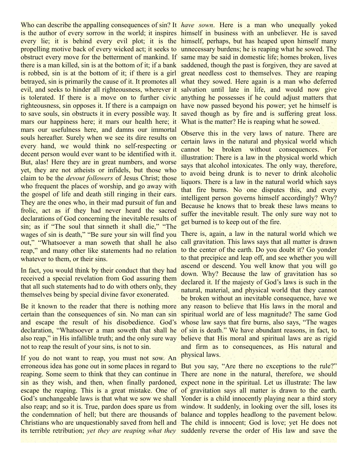is the author of every sorrow in the world; it inspires himself in business with an unbeliever. He is saved every lie; it is behind every evil plot; it is the himself, perhaps, but has heaped upon himself many propelling motive back of every wicked act; it seeks to unnecessary burdens; he is reaping what he sowed. The obstruct every move for the betterment of mankind. If same may be said in domestic life; homes broken, lives there is a man killed, sin is at the bottom of it; if a bank saddened, though the past is forgiven, they are saved at is robbed, sin is at the bottom of it; if there is a girl great needless cost to themselves. They are reaping betrayed, sin is primarily the cause of it. It promotes all what they sowed. Here again is a man who deferred evil, and seeks to hinder all righteousness, wherever it salvation until late in life, and would now give is tolerated. If there is a move on to further civic anything he possesses if he could adjust matters that righteousness, sin opposes it. If there is a campaign on have now passed beyond his power; yet he himself is to save souls, sin obstructs it in every possible way. It saved though as by fire and is suffering great loss. mars our happiness here; it mars our health here; it What is the matter? He is reaping what he sowed. mars our usefulness here, and damns our immortal souls hereafter. Surely when we see its dire results on every hand, we would think no self-respecting or decent person would ever want to be identified with it. But, alas! Here they are in great numbers, and worse yet, they are not atheists or infidels, but those who claim to be the *devout followers* of Jesus Christ; those who frequent the places of worship, and go away with the gospel of life and death still ringing in their ears. They are the ones who, in their mad pursuit of fun and frolic, act as if they had never heard the sacred declarations of God concerning the inevitable results of sin; as if "The soul that sinneth it shall die," "The wages of sin is death," "Be sure your sin will find you out," "Whatsoever a man soweth that shall he also reap," and many other like statements had no relation whatever to them, or their sins.

In fact, you would think by their conduct that they had received a special revelation from God assuring them that all such statements had to do with others only, they themselves being by special divine favor exonerated.

certain than the consequences of sin. No man can sin spiritual world are of less magnitude? The same God and escape the result of his disobedience. God's whose law says that fire burns, also says, "The wages declaration, "Whatsoever a man soweth that shall he of sin is death." We have abundant reasons, in fact, to also reap," in His infallible truth; and the only sure way not to reap the result of your sins, is not to sin.

If you do not want to reap, you must not sow. An erroneous idea has gone out in some places in regard to But you say, "Are there no exceptions to the rule?" reaping. Some seem to think that they can continue in There are none in the natural, therefore, we should sin as they wish, and then, when finally pardoned, expect none in the spiritual. Let us illustrate: The law escape the reaping. This is a great mistake. One of of gravitation says all matter is drawn to the earth. God's unchangeable laws is that what we sow we shall Yonder is a child innocently playing near a third story also reap; and so it is. True, pardon does spare us from window. It suddenly, in looking over the sill, loses its the condemnation of hell; but there are thousands of balance and topples headlong to the pavement below. Christians who are unquestionably saved from hell and The child is innocent; God is love; yet He does not its terrible retribution; *yet they are reaping what they* suddenly reverse the order of His law and save the

Who can describe the appalling consequences of sin? It *have sown*. Here is a man who unequally yoked

Observe this in the very laws of nature. There are certain laws in the natural and physical world which cannot be broken without consequences. For illustration: There is a law in the physical world which says that alcohol intoxicates. The only way, therefore, to avoid being drunk is to never to drink alcoholic liquors. There is a law in the natural world which says that fire burns. No one disputes this, and every intelligent person governs himself accordingly? Why? Because he knows that to break these laws means to suffer the inevitable result. The only sure way not to get burned is to keep out of the fire.

Be it known to the reader that there is nothing more any reason to believe that His laws in the moral and There is, again, a law in the natural world which we call gravitation. This laws says that all matter is drawn to the center of the earth. Do you doubt it? Go yonder to that precipice and leap off, and see whether you will ascend or descend. You well know that you will go down. Why? Because the law of gravitation has so declared it. If the majesty of God's laws is such in the natural, material, and physical world that they cannot be broken without an inevitable consequence, have we believe that His moral and spiritual laws are as rigid and firm as to consequences, as His natural and physical laws.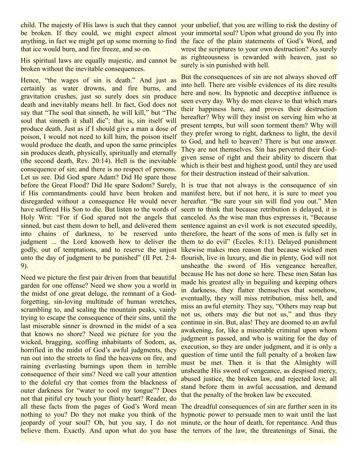child. The majesty of His laws is such that they cannot your unbelief, that you are willing to risk the destiny of be broken. If they could, we might expect almost your immortal soul? Upon what ground do you fly into anything, in fact we might get up some morning to find the face of the plain statements of God's Word, and that ice would burn, and fire freeze, and so on.

His spiritual laws are equally majestic, and cannot be broken without the inevitable consequences.

Hence, "the wages of sin is death." And just as certainly as water drowns, and fire burns, and gravitation crushes, just so surely does sin produce death and inevitably means hell. In fact, God does not say that "The soul that sinneth, he will kill," but "The soul that sinneth it shall die"; that is, sin itself will produce death. Just as if I should give a man a dose of poison, I would not need to kill him, the poison itself would produce the death, and upon the same principles sin produces death, physically, spiritually and eternally (the second death, Rev. 20:14). Hell is the inevitable consequence of sin; and there is no respect of persons. Let us see. Did God spare Adam? Did He spare those before the Great Flood? Did He spare Sodom? Surely, It is true that not always is the consequence of sin if His commandments could have been broken and manifest here, but if not here, it is sure to meet you disregarded without a consequence He would never hereafter. "Be sure your sin will find you out." Men have suffered His Son to die. But listen to the words of seem to think that because retribution is delayed, it is Holy Writ: "For if God spared not the angels that canceled. As the wise man thus expresses it, "Because sinned, but cast them down to hell, and delivered them sentence against an evil work is not executed speedily, into chains of darkness, to be reserved unto therefore, the heart of the sons of men is fully set in judgment ... the Lord knoweth how to deliver the them to do evil" (Eccles. 8:11). Delayed punishment godly, out of temptations, and to reserve the unjust likewise makes men reason that because wicked men unto the day of judgment to be punished" (II Pet. 2:4- flourish, live in luxury, and die in plenty, God will not 9).

Need we picture the first pair driven from that beautiful garden for one offense? Need we show you a world in the midst of one great deluge, the remnant of a Godforgetting, sin-loving multitude of human wretches, scrambling to, and scaling the mountain peaks, vainly trying to escape the consequence of their sins, until the last miserable sinner is drowned in the midst of a sea that knows no shore? Need we picture for you the wicked, bragging, scoffing inhabitants of Sodom, as, horrified in the midst of God's awful judgments, they run out into the streets to find the heavens on fire, and raining everlasting burnings upon them in terrible consequence of their sins? Need we call your attention to the doleful cry that comes from the blackness of outer darkness for "water to cool my tongue"? Does not that pitiful cry touch your flinty heart? Reader, do all these facts from the pages of God's Word mean The dreadful consequences of sin are further seen in its nothing to you? Do they not make you think of the hypnotic power to persuade men to wait until the last jeopardy of your soul? Oh, but you say, I do not minute, or the hour of death, for repentance. And thus believe them. Exactly. And upon what do you base the terrors of the law, the threatenings of Sinai, the

wrest the scriptures to your own destruction? As surely as righteousness is rewarded with heaven, just so surely is sin punished with hell.

But the consequences of sin are not always shoved off into hell. There are visible evidences of its dire results here and now. Its hypnotic and deceptive influence is seen every day. Why do men cleave to that which mars their happiness here, and proves their destruction hereafter? Why will they insist on serving him who at present tempts, but will soon torment them? Why will they prefer wrong to right, darkness to light, the devil to God, and hell to heaven? There is but one answer. They are not themselves. Sin has perverted their Godgiven sense of right and their ability to discern that which is their best and highest good, until they are used for their destruction instead of their salvation.

unsheathe the sword of His vengeance hereafter, because He has not done so here. These men Satan has made his greatest ally in beguiling and keeping others in darkness, they flatter themselves that somehow, eventually, they will miss retribution, miss hell, and miss an awful eternity. They say, "Others may reap but not us, others may die but not us," and thus they continue in sin. But, alas! They are doomed to an awful awakening, for, like a miserable criminal upon whom judgment is passed, and who is waiting for the day of execution, so they are under judgment, and it is only a question of time until the full penalty of a broken law must be met. Then it is that the Almighty will unsheathe His sword of vengeance, as despised mercy, abused justice, the broken law, and rejected love, all stand before them in awful accusation, and demand that the penalty of the broken law be executed.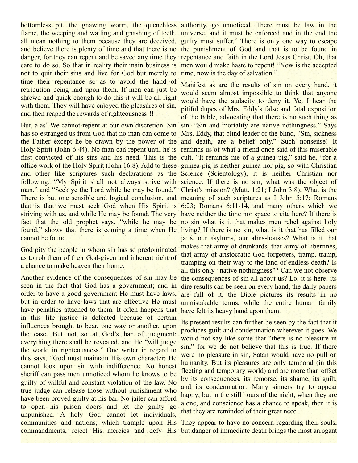bottomless pit, the gnawing worm, the quenchless authority, go unnoticed. There must be law in the flame, the weeping and wailing and gnashing of teeth, universe, and it must be enforced and in the end the all mean nothing to them because they are deceived, guilty must suffer." There is only one way to escape and believe there is plenty of time and that there is no the punishment of God and that is to be found in danger, for they can repent and be saved any time they repentance and faith in the Lord Jesus Christ. Oh, that care to do so. So that in reality their main business is men would make haste to repent! "Now is the accepted not to quit their sins and live for God but merely to time, now is the day of salvation." time their repentance so as to avoid the hand of retribution being laid upon them. If men can just be shrewd and quick enough to do this it will be all right with them. They will have enjoyed the pleasures of sin, and then reaped the rewards of righteousness!!!

But, alas! We cannot repent at our own discretion. Sin sin. "Sin and mortality are native nothingness." Says has so estranged us from God that no man can come to Mrs. Eddy, that blind leader of the blind, "Sin, sickness the Father except he be drawn by the power of the and death, are a belief only." Such nonsense! It Holy Spirit (John 6:44). No man can repent until he is reminds us of what a friend once said of this miserable first convicted of his sins and his need. This is the cult. "It reminds me of a guinea pig," said he, "for a office work of the Holy Spirit (John 16:8). Add to these guinea pig is neither guinea nor pig, so with Christian and other like scriptures such declarations as the Science (Scientology), it is neither Christian nor following: "My Spirit shall not always strive with science. If there is no sin, what was the object of man," and "Seek ye the Lord while he may be found." Christ's mission? (Matt. 1:21; I John 3:8). What is the There is but one sensible and logical conclusion, and meaning of such scriptures as I John 5:17; Romans that is that we must seek God when His Spirit is 6:23; Romans 6:11-14, and many others which we striving with us, and while He may be found. The very have neither the time nor space to cite here? If there is fact that the old prophet says, "while he may be no sin what is it that makes men rebel against holy found," shows that there is coming a time when He living? If there is no sin, what is it that has filled our cannot be found.

God pity the people in whom sin has so predominated as to rob them of their God-given and inherent right of a chance to make heaven their home.

Another evidence of the consequences of sin may be seen in the fact that God has a government; and in order to have a good government He must have laws, but in order to have laws that are effective He must have penalties attached to them. It often happens that in this life justice is defeated because of certain influences brought to bear, one way or another, upon the case. But not so at God's bar of judgment; everything there shall be revealed, and He "will judge the world in righteousness." One writer in regard to this says, "God must maintain His own character; He cannot look upon sin with indifference. No honest sheriff can pass men unnoticed whom he knows to be guilty of willful and constant violation of the law. No true judge can release those without punishment who have been proved guilty at his bar. No jailer can afford to open his prison doors and let the guilty go unpunished. A holy God cannot let individuals, communities and nations, which trample upon His They appear to have no concern regarding their souls, commandments, reject His mercies and defy His but danger of immediate death brings the most arrogant

Manifest as are the results of sin on every hand, it would seem almost impossible to think that anyone would have the audacity to deny it. Yet I hear the pitiful dupes of Mrs. Eddy's false and fatal exposition of the Bible, advocating that there is no such thing as jails, our asylums, our alms-houses? What is it that makes that army of drunkards, that army of libertines, that army of aristocratic God-forgetters, tramp, tramp, tramping on their way to the land of endless death? Is all this only "native nothingness"? Can we not observe the consequences of sin all about us? Lo, it is here; its dire results can be seen on every hand, the daily papers are full of it, the Bible pictures its results in no unmistakable terms, while the entire human family have felt its heavy hand upon them.

Its present results can further be seen by the fact that it produces guilt and condemnation wherever it goes. We would not say like some that "there is no pleasure in sin," for we do not believe that this is true. If there were no pleasure in sin, Satan would have no pull on humanity. But its pleasures are only temporal (in this fleeting and temporary world) and are more than offset by its consequences, its remorse, its shame, its guilt, and its condemnation. Many sinners try to appear happy; but in the still hours of the night, when they are alone, and conscience has a chance to speak, then it is that they are reminded of their great need.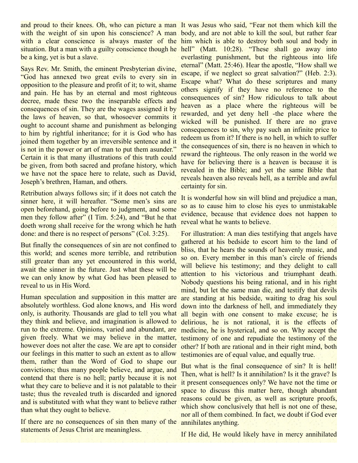and proud to their knees. Oh, who can picture a man It was Jesus who said, "Fear not them which kill the with the weight of sin upon his conscience? A man body, and are not able to kill the soul, but rather fear with a clear conscience is always master of the him which is able to destroy both soul and body in situation. But a man with a guilty conscience though he hell" (Matt. 10:28). "These shall go away into be a king, yet is but a slave.

Says Rev. Mr. Smith, the eminent Presbyterian divine, "God has annexed two great evils to every sin in opposition to the pleasure and profit of it; to wit, shame and pain. He has by an eternal and most righteous decree, made these two the inseparable effects and consequences of sin. They are the wages assigned it by the laws of heaven, so that, whosoever commits it ought to account shame and punishment as belonging to him by rightful inheritance; for it is God who has joined them together by an irreversible sentence and it is not in the power or art of man to put them asunder." Certain it is that many illustrations of this truth could be given, from both sacred and profane history, which we have not the space here to relate, such as David, Joseph's brethren, Haman, and others.

Retribution always follows sin; if it does not catch the sinner here, it will hereafter. "Some men's sins are open beforehand, going before to judgment, and some men they follow after" (I Tim. 5:24), and "But he that doeth wrong shall receive for the wrong which he hath done: and there is no respect of persons" (Col. 3:25).

But finally the consequences of sin are not confined to this world; and scenes more terrible, and retribution still greater than any yet encountered in this world, await the sinner in the future. Just what these will be we can only know by what God has been pleased to reveal to us in His Word.

Human speculation and supposition in this matter are absolutely worthless. God alone knows, and His word only, is authority. Thousands are glad to tell you what they think and believe, and imagination is allowed to run to the extreme. Opinions, varied and abundant, are given freely. What we may believe in the matter, however does not alter the case. We are apt to consider our feelings in this matter to such an extent as to allow them, rather than the Word of God to shape our convictions; thus many people believe, and argue, and contend that there is no hell; partly because it is not what they care to believe and it is not palatable to their taste; thus the revealed truth is discarded and ignored and is substituted with what they want to believe rather than what they ought to believe.

If there are no consequences of sin then many of the annihilates anything. statements of Jesus Christ are meaningless.

everlasting punishment, but the righteous into life eternal" (Matt. 25:46). Hear the apostle, "How shall we escape, if we neglect so great salvation?" (Heb. 2:3). Escape what? What do these scriptures and many others signify if they have no reference to the consequences of sin? How ridiculous to talk about heaven as a place where the righteous will be rewarded, and yet deny hell -the place where the wicked will be punished. If there are no grave consequences to sin, why pay such an infinite price to redeem us from it? If there is no hell, in which to suffer the consequences of sin, there is no heaven in which to reward the righteous. The only reason in the world we have for believing there is a heaven is because it is revealed in the Bible; and yet the same Bible that reveals heaven also reveals hell, as a terrible and awful certainty for sin.

It is wonderful how sin will blind and prejudice a man, so as to cause him to close his eyes to unmistakable evidence, because that evidence does not happen to reveal what he wants to believe.

For illustration: A man dies testifying that angels have gathered at his bedside to escort him to the land of bliss, that he hears the sounds of heavenly music, and so on. Every member in this man's circle of friends will believe his testimony; and they delight to call attention to his victorious and triumphant death. Nobody questions his being rational, and in his right mind, but let the same man die, and testify that devils are standing at his bedside, waiting to drag his soul down into the darkness of hell, and immediately they all begin with one consent to make excuse; he is delirious, he is not rational, it is the effects of medicine, he is hysterical, and so on. Why accept the testimony of one and repudiate the testimony of the other? If both are rational and in their right mind, both testimonies are of equal value, and equally true.

But what is the final consequence of sin? It is hell! Then, what is hell? Is it annihilation? Is it the grave? Is it present consequences only? We have not the time or space to discuss this matter here, though abundant reasons could be given, as well as scripture proofs, which show conclusively that hell is not one of these, nor all of them combined. In fact, we doubt if God ever

If He did, He would likely have in mercy annihilated